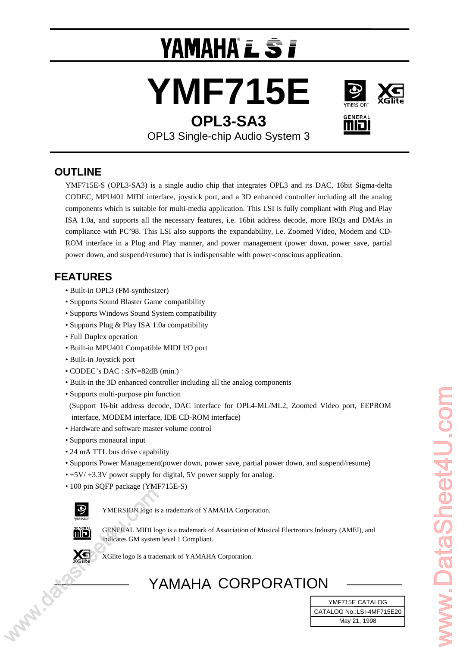# YAMAHA°L \$*i*







OPL3 Single-chip Audio System 3

# **OUTLINE**

YMF715E-S (OPL3-SA3) is a single audio chip that integrates OPL3 and its DAC, 16bit Sigma-delta CODEC, MPU401 MIDI interface, joystick port, and a 3D enhanced controller including all the analog components which is suitable for multi-media application. This LSI is fully compliant with Plug and Play ISA 1.0a, and supports all the necessary features, i.e. 16bit address decode, more IRQs and DMAs in compliance with PC'98. This LSI also supports the expandability, i.e. Zoomed Video, Modem and CD-ROM interface in a Plug and Play manner, and power management (power down, power save, partial power down, and suspend/resume) that is indispensable with power-conscious application.

# **FEATURES**

- Built-in OPL3 (FM-synthesizer)
- Supports Sound Blaster Game compatibility
- Supports Windows Sound System compatibility
- Supports Plug & Play ISA 1.0a compatibility
- Full Duplex operation
- Built-in MPU401 Compatible MIDI I/O port
- Built-in Joystick port
- CODEC's DAC : S/N=82dB (min.)
- Built-in the 3D enhanced controller including all the analog components
- Supports multi-purpose pin function

(Support 16-bit address decode, DAC interface for OPL4-ML/ML2, Zoomed Video port, EEPROM interface, MODEM interface, IDE CD-ROM interface) Supports multi-purpose pin function<br>
(Support 16-bit authors decode, DE CD-ROM interface for OPLA-MLML2, Zoomed Video port, EEPROM<br>
interface, MODEM interface, DE CD-ROM interface)<br>
Hardware and software management repowe

- Hardware and software master volume control
- Supports monaural input
- 24 mA TTL bus drive capability
- Supports Power Management(power down, power save, partial power down, and suspend/resume)
- +5V/ +3.3V power supply for digital, 5V power supply for analog.
- 100 pin SQFP package (YMF715E-S)



YMERSION logo is a trademark of YAMAHA Corporation.



GENERAL MIDI logo is a trademark of Association of Musical Electronics Industry (AMEI), and indicates GM system level 1 Compliant.



XGlite logo is a trademark of YAMAHA Corporation.

# YAMAHA CORPORATION

**May 21, 1998** CATALOG No.:LSI-4MF715E20 YMF715E CATALOG May 21, 1998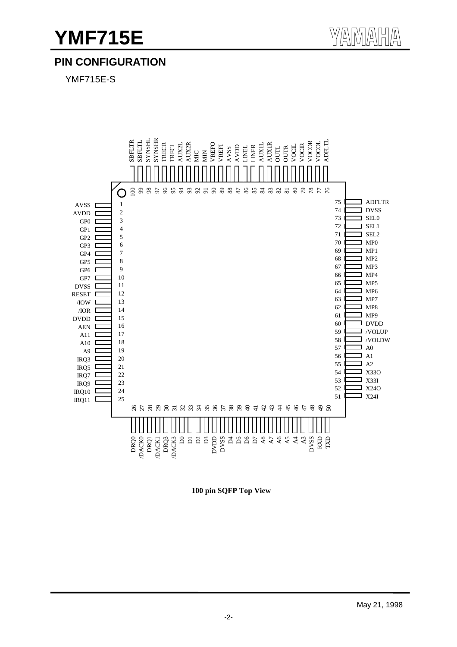# **PIN CONFIGURATION**

YMF715E-S



**100 pin SQFP Top View**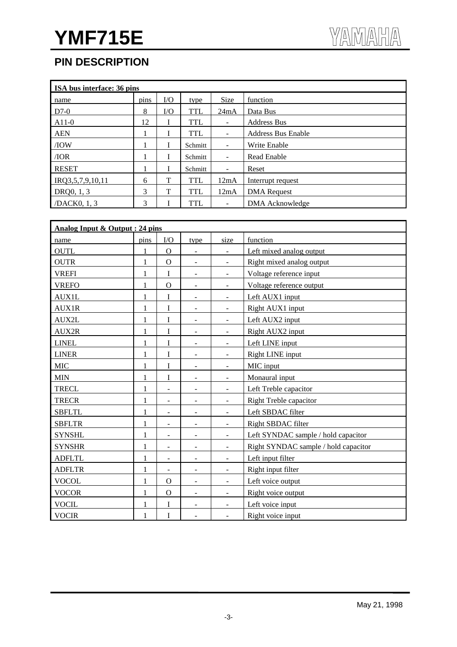# **PIN DESCRIPTION**

| ISA bus interface: 36 pins |      |          |            |                          |                           |  |  |  |  |
|----------------------------|------|----------|------------|--------------------------|---------------------------|--|--|--|--|
| name                       | pins | $\rm LO$ | type       | Size                     | function                  |  |  |  |  |
| $D7-0$                     | 8    | I/O      | <b>TTL</b> | 24mA                     | Data Bus                  |  |  |  |  |
| $A11-0$                    | 12   | I        | <b>TTL</b> | ۰                        | <b>Address Bus</b>        |  |  |  |  |
| <b>AEN</b>                 |      | T        | <b>TTL</b> | ۰                        | <b>Address Bus Enable</b> |  |  |  |  |
| /IOW                       |      |          | Schmitt    | ۰                        | Write Enable              |  |  |  |  |
| /IOR                       |      | I        | Schmitt    | $\overline{\phantom{a}}$ | Read Enable               |  |  |  |  |
| <b>RESET</b>               |      |          | Schmitt    | $\overline{\phantom{a}}$ | Reset                     |  |  |  |  |
| IRQ3,5,7,9,10,11           | 6    | T        | <b>TTL</b> | 12mA                     | Interrupt request         |  |  |  |  |
| DRQ0, 1, 3                 | 3    | T        | <b>TTL</b> | 12mA                     | <b>DMA</b> Request        |  |  |  |  |
| /DACK0, 1, 3               | 3    |          | <b>TTL</b> |                          | DMA Acknowledge           |  |  |  |  |

| Analog Input & Output : 24 pins |              |                          |                          |                          |                                      |  |  |
|---------------------------------|--------------|--------------------------|--------------------------|--------------------------|--------------------------------------|--|--|
| name                            | pins         | ${\rm I/O}$              | type                     | size                     | function                             |  |  |
| <b>OUTL</b>                     |              | $\Omega$                 | $\overline{\phantom{a}}$ | $\overline{\phantom{a}}$ | Left mixed analog output             |  |  |
| <b>OUTR</b>                     | 1            | $\Omega$                 |                          | $\sim$                   | Right mixed analog output            |  |  |
| <b>VREFI</b>                    | $\mathbf{1}$ | $\mathbf I$              | $\overline{\phantom{a}}$ | $\overline{\phantom{a}}$ | Voltage reference input              |  |  |
| <b>VREFO</b>                    | $\mathbf{1}$ | $\mathbf O$              | $\overline{\phantom{a}}$ | $\blacksquare$           | Voltage reference output             |  |  |
| <b>AUX1L</b>                    | 1            | I                        |                          | $\overline{\phantom{a}}$ | Left AUX1 input                      |  |  |
| AUX1R                           | 1            | I                        | $\overline{a}$           | $\overline{\phantom{a}}$ | Right AUX1 input                     |  |  |
| AUX2L                           | 1            | I                        | $\blacksquare$           | $\blacksquare$           | Left AUX2 input                      |  |  |
| AUX2R                           | 1            | I                        | $\overline{\phantom{a}}$ | $\overline{\phantom{a}}$ | Right AUX2 input                     |  |  |
| <b>LINEL</b>                    | $\mathbf{1}$ | I                        | $\overline{\phantom{a}}$ | $\overline{\phantom{a}}$ | Left LINE input                      |  |  |
| <b>LINER</b>                    | 1            | I                        | $\overline{\phantom{a}}$ | $\blacksquare$           | Right LINE input                     |  |  |
| <b>MIC</b>                      | 1            | I                        | $\overline{\phantom{m}}$ | $\blacksquare$           | MIC input                            |  |  |
| <b>MIN</b>                      | $\mathbf{1}$ | I                        | $\overline{\phantom{a}}$ | $\blacksquare$           | Monaural input                       |  |  |
| <b>TRECL</b>                    | 1            | $\overline{\phantom{a}}$ | $\overline{\phantom{0}}$ | $\blacksquare$           | Left Treble capacitor                |  |  |
| <b>TRECR</b>                    | 1            | $\overline{\phantom{a}}$ | $\overline{a}$           | $\blacksquare$           | <b>Right Treble capacitor</b>        |  |  |
| <b>SBFLTL</b>                   | 1            | $\overline{\phantom{a}}$ | $\overline{\phantom{a}}$ | $\blacksquare$           | Left SBDAC filter                    |  |  |
| <b>SBFLTR</b>                   | 1            | $\overline{\phantom{a}}$ | $\overline{\phantom{a}}$ | $\blacksquare$           | Right SBDAC filter                   |  |  |
| <b>SYNSHL</b>                   | 1            | $\overline{\phantom{a}}$ | -                        | $\overline{\phantom{a}}$ | Left SYNDAC sample / hold capacitor  |  |  |
| <b>SYNSHR</b>                   | 1            | $\blacksquare$           | $\overline{\phantom{a}}$ | $\overline{\phantom{a}}$ | Right SYNDAC sample / hold capacitor |  |  |
| <b>ADFLTL</b>                   | 1            | $\blacksquare$           | $\overline{\phantom{a}}$ | $\blacksquare$           | Left input filter                    |  |  |
| <b>ADFLTR</b>                   | $\mathbf{1}$ | $\overline{\phantom{a}}$ | $\overline{\phantom{a}}$ | $\overline{\phantom{a}}$ | Right input filter                   |  |  |
| <b>VOCOL</b>                    | 1            | $\mathbf{O}$             | $\overline{\phantom{a}}$ | $\overline{\phantom{a}}$ | Left voice output                    |  |  |
| <b>VOCOR</b>                    | 1            | $\mathbf O$              | $\overline{a}$           | $\overline{\phantom{a}}$ | Right voice output                   |  |  |
| <b>VOCIL</b>                    | 1            | I                        | $\overline{\phantom{a}}$ | $\blacksquare$           | Left voice input                     |  |  |
| <b>VOCIR</b>                    | 1            | I                        | $\overline{\phantom{a}}$ | $\overline{\phantom{a}}$ | Right voice input                    |  |  |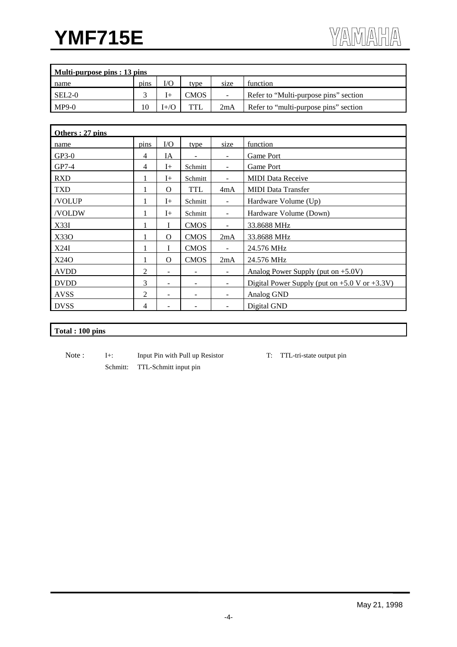| Multi-purpose pins : 13 pins |      |                   |            |        |                                       |  |  |
|------------------------------|------|-------------------|------------|--------|---------------------------------------|--|--|
| name                         | pins | I/C               | type       | size   | function                              |  |  |
| $SEL2-0$                     |      |                   | CMOS       | $\sim$ | Refer to "Multi-purpose pins" section |  |  |
| $MP9-0$                      | 10   | $f + \mathcal{K}$ | <b>TTL</b> | 2mA    | Refer to "multi-purpose pins" section |  |  |

| Others: 27 pins |      |                          |                   |                          |                                                    |
|-----------------|------|--------------------------|-------------------|--------------------------|----------------------------------------------------|
| name            | pins | $\rm LO$                 | type              | size                     | function                                           |
| $GP3-0$         | 4    | IA                       |                   | ۰                        | Game Port                                          |
| GP7-4           | 4    | $I+$                     | Schmitt           | $\overline{\phantom{a}}$ | Game Port                                          |
| <b>RXD</b>      |      | $I+$                     | Schmitt           | $\overline{\phantom{0}}$ | <b>MIDI</b> Data Receive                           |
| <b>TXD</b>      |      | $\Omega$                 | <b>TTL</b>        | 4mA                      | <b>MIDI</b> Data Transfer                          |
| /VOLUP          | 1    | $I+$                     | Schmitt           | $\blacksquare$           | Hardware Volume (Up)                               |
| /VOLDW          | 1    | $I+$                     | Schmitt           | $\blacksquare$           | Hardware Volume (Down)                             |
| X33I            |      |                          | <b>CMOS</b>       | $\overline{\phantom{a}}$ | 33.8688 MHz                                        |
| X330            |      | $\Omega$                 | <b>CMOS</b>       | 2mA                      | 33.8688 MHz                                        |
| X24I            |      |                          | <b>CMOS</b>       | $\blacksquare$           | 24.576 MHz                                         |
| X240            | 1    | $\Omega$                 | <b>CMOS</b>       | 2mA                      | 24.576 MHz                                         |
| <b>AVDD</b>     | 2    |                          |                   | $\blacksquare$           | Analog Power Supply (put on $+5.0V$ )              |
| <b>DVDD</b>     | 3    | $\overline{\phantom{0}}$ | $\qquad \qquad -$ | ۰                        | Digital Power Supply (put on $+5.0$ V or $+3.3$ V) |
| <b>AVSS</b>     | 2    | $\overline{\phantom{a}}$ |                   | ۰                        | Analog GND                                         |
| <b>DVSS</b>     | 4    |                          |                   |                          | Digital GND                                        |

# **Total : 100 pins**

- Note : I+: Input Pin with Pull up Resistor T: TTL-tri-state output pin Schmitt: TTL-Schmitt input pin
	-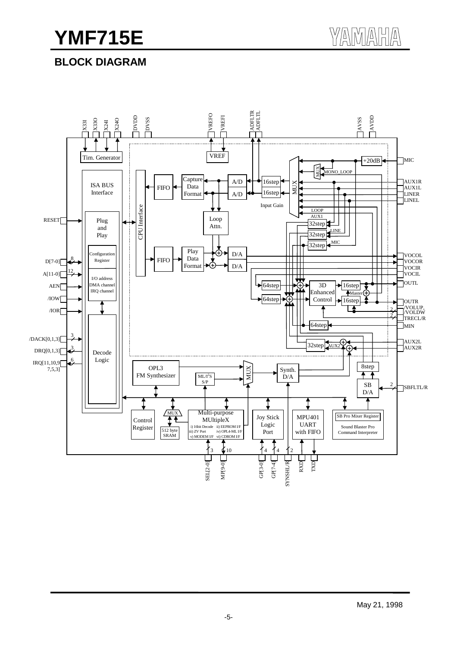# **BLOCK DIAGRAM**

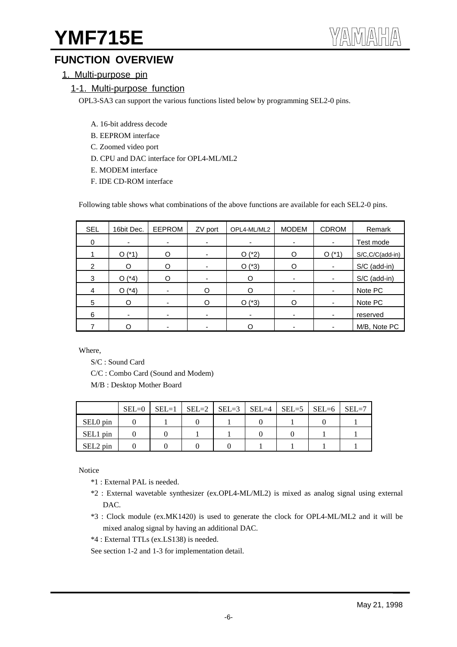# **FUNCTION OVERVIEW**

1. Multi-purpose pin

## 1-1. Multi-purpose function

OPL3-SA3 can support the various functions listed below by programming SEL2-0 pins.

- A. 16-bit address decode
- B. EEPROM interface
- C. Zoomed video port
- D. CPU and DAC interface for OPL4-ML/ML2
- E. MODEM interface
- F. IDE CD-ROM interface

Following table shows what combinations of the above functions are available for each SEL2-0 pins.

| <b>SEL</b> | 16bit Dec.  | EEPROM                   | ZV port  | OPL4-ML/ML2 | <b>MODEM</b>             | <b>CDROM</b>             | Remark              |
|------------|-------------|--------------------------|----------|-------------|--------------------------|--------------------------|---------------------|
| 0          |             |                          |          |             |                          | ۰                        | Test mode           |
|            | $(*1)$<br>O | O                        |          | $O(^{*}2)$  | O                        | $O(^{*}1)$               | $S/C, C/C$ (add-in) |
| 2          | O           | O                        |          | $O(^{*}3)$  | Ω                        | ٠                        | S/C (add-in)        |
| 3          | $(*4)$<br>O | O                        |          | O           |                          | ٠                        | S/C (add-in)        |
| 4          | $(*4)$<br>O | $\overline{\phantom{0}}$ | ∩        | ∩           | $\overline{\phantom{0}}$ | $\overline{\phantom{a}}$ | Note PC             |
| 5          | O           | $\overline{\phantom{0}}$ | $\Omega$ | $O(^{*}3)$  | ∩                        | $\overline{\phantom{a}}$ | Note PC             |
| 6          |             | ۰                        |          |             | $\blacksquare$           | $\overline{\phantom{a}}$ | reserved            |
|            |             | -                        |          |             |                          | ٠                        | M/B, Note PC        |

Where,

S/C : Sound Card

C/C : Combo Card (Sound and Modem)

M/B : Desktop Mother Board

|          | $SEL=0$ | $SEL=1$   $SEL=2$   $SEL=3$   $SEL=4$   $SEL=5$   $SEL=6$   $SEL=7$ |  |  |  |
|----------|---------|---------------------------------------------------------------------|--|--|--|
| SEL0 pin |         |                                                                     |  |  |  |
| SEL1 pin |         |                                                                     |  |  |  |
| SEL2 pin |         |                                                                     |  |  |  |

Notice

- \*1 : External PAL is needed.
- \*2 : External wavetable synthesizer (ex.OPL4-ML/ML2) is mixed as analog signal using external DAC.
- \*3 : Clock module (ex.MK1420) is used to generate the clock for OPL4-ML/ML2 and it will be mixed analog signal by having an additional DAC.
- \*4 : External TTLs (ex.LS138) is needed.

See section 1-2 and 1-3 for implementation detail.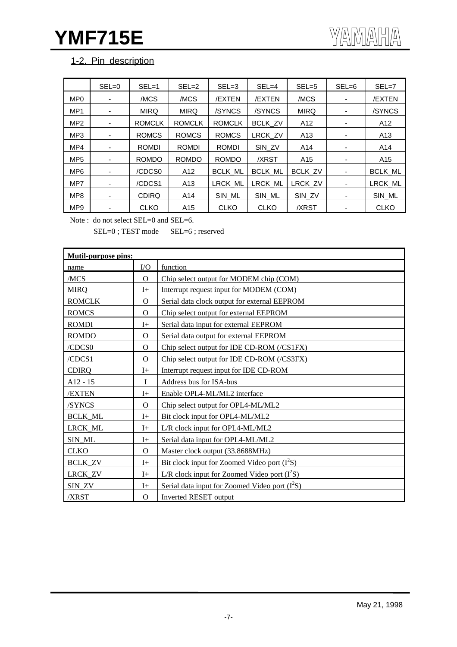# 1-2. Pin description

|                 | $SEL = 0$                | $SEL = 1$     | $SEL = 2$       | $SEL = 3$      | $SEL = 4$      | $SEL = 5$       | $SEL = 6$ | $SEL = 7$       |
|-----------------|--------------------------|---------------|-----------------|----------------|----------------|-----------------|-----------|-----------------|
| MP <sub>0</sub> |                          | /MCS          | /MCS            | /EXTEN         | /EXTEN         | /MCS            |           | /EXTEN          |
| MP <sub>1</sub> | ۰                        | <b>MIRQ</b>   | <b>MIRQ</b>     | /SYNCS         | /SYNCS         | <b>MIRQ</b>     | ٠         | /SYNCS          |
| MP <sub>2</sub> |                          | <b>ROMCLK</b> | <b>ROMCLK</b>   | <b>ROMCLK</b>  | <b>BCLK ZV</b> | A <sub>12</sub> |           | A12             |
| MP <sub>3</sub> |                          | <b>ROMCS</b>  | <b>ROMCS</b>    | <b>ROMCS</b>   | LRCK_ZV        | A <sub>13</sub> |           | A <sub>13</sub> |
| MP4             |                          | <b>ROMDI</b>  | <b>ROMDI</b>    | <b>ROMDI</b>   | SIN ZV         | A14             |           | A14             |
| MP <sub>5</sub> |                          | <b>ROMDO</b>  | <b>ROMDO</b>    | <b>ROMDO</b>   | /XRST          | A <sub>15</sub> | ٠         | A <sub>15</sub> |
| MP <sub>6</sub> | $\overline{\phantom{a}}$ | /CDCS0        | A12             | <b>BCLK ML</b> | <b>BCLK ML</b> | <b>BCLK ZV</b>  |           | BCLK ML         |
| MP7             |                          | /CDCS1        | A <sub>13</sub> | LRCK ML        | <b>LRCK ML</b> | LRCK ZV         |           | LRCK ML         |
| MP <sub>8</sub> | ٠                        | <b>CDIRQ</b>  | A14             | SIN ML         | SIN ML         | SIN_ZV          | ٠         | SIN_ML          |
| MP <sub>9</sub> |                          | <b>CLKO</b>   | A15             | <b>CLKO</b>    | <b>CLKO</b>    | /XRST           |           | <b>CLKO</b>     |

Note : do not select SEL=0 and SEL=6.

SEL=0 ; TEST mode SEL=6 ; reserved

| <b>Mutil-purpose pins:</b> |                |                                                 |
|----------------------------|----------------|-------------------------------------------------|
| name                       | $\rm LO$       | function                                        |
| /MCS                       | $\Omega$       | Chip select output for MODEM chip (COM)         |
| <b>MIRQ</b>                | $I+$           | Interrupt request input for MODEM (COM)         |
| <b>ROMCLK</b>              | $\Omega$       | Serial data clock output for external EEPROM    |
| <b>ROMCS</b>               | $\Omega$       | Chip select output for external EEPROM          |
| <b>ROMDI</b>               | $I+$           | Serial data input for external EEPROM           |
| <b>ROMDO</b>               | $\overline{O}$ | Serial data output for external EEPROM          |
| /CDCS0                     | $\Omega$       | Chip select output for IDE CD-ROM (/CS1FX)      |
| /CDCS1                     | $\mathbf{O}$   | Chip select output for IDE CD-ROM (/CS3FX)      |
| <b>CDIRQ</b>               | $I+$           | Interrupt request input for IDE CD-ROM          |
| $A12 - 15$                 | I              | Address bus for ISA-bus                         |
| /EXTEN                     | $I+$           | Enable OPL4-ML/ML2 interface                    |
| /SYNCS                     | $\Omega$       | Chip select output for OPL4-ML/ML2              |
| <b>BCLK_ML</b>             | $I+$           | Bit clock input for OPL4-ML/ML2                 |
| LRCK_ML                    | $I+$           | L/R clock input for OPL4-ML/ML2                 |
| SIN_ML                     | $I+$           | Serial data input for OPL4-ML/ML2               |
| <b>CLKO</b>                | $\Omega$       | Master clock output (33.8688MHz)                |
| <b>BCLK ZV</b>             | $I+$           | Bit clock input for Zoomed Video port $(I2S)$   |
| LRCK_ZV                    | $I+$           | L/R clock input for Zoomed Video port $(I^2S)$  |
| SIN_ZV                     | $I+$           | Serial data input for Zoomed Video port $(I2S)$ |
| /XRST                      | $\Omega$       | <b>Inverted RESET output</b>                    |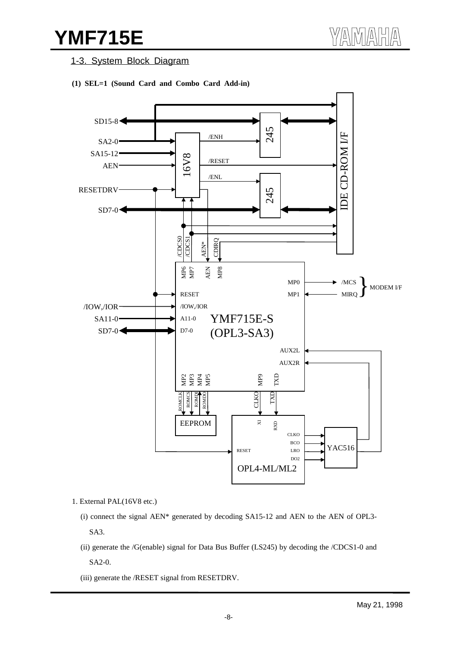1-3. System Block Diagram

**(1) SEL=1 (Sound Card and Combo Card Add-in)**



1. External PAL(16V8 etc.)

- (i) connect the signal AEN\* generated by decoding SA15-12 and AEN to the AEN of OPL3- SA3.
- (ii) generate the /G(enable) signal for Data Bus Buffer (LS245) by decoding the /CDCS1-0 and SA2-0.
- (iii) generate the /RESET signal from RESETDRV.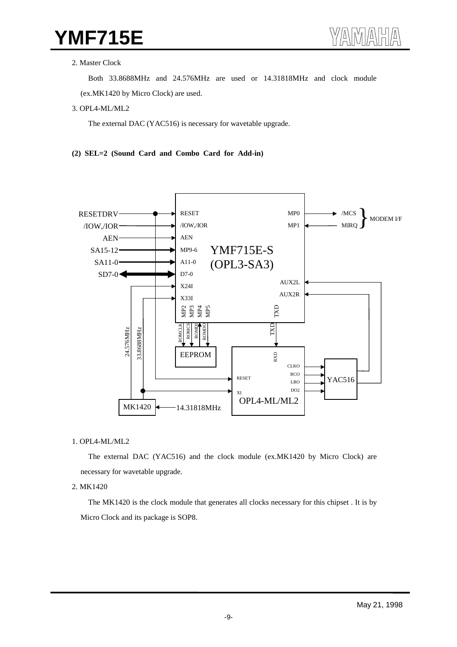#### 2. Master Clock

Both 33.8688MHz and 24.576MHz are used or 14.31818MHz and clock module

(ex.MK1420 by Micro Clock) are used.

3. OPL4-ML/ML2

The external DAC (YAC516) is necessary for wavetable upgrade.

#### **(2) SEL=2 (Sound Card and Combo Card for Add-in)**



#### 1. OPL4-ML/ML2

The external DAC (YAC516) and the clock module (ex.MK1420 by Micro Clock) are necessary for wavetable upgrade.

#### 2. MK1420

The MK1420 is the clock module that generates all clocks necessary for this chipset . It is by Micro Clock and its package is SOP8.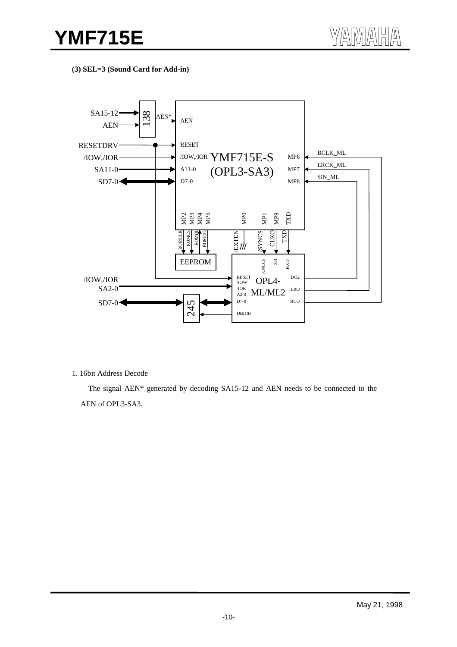**(3) SEL=3 (Sound Card for Add-in)**



1. 16bit Address Decode

The signal AEN\* generated by decoding SA15-12 and AEN needs to be connected to the AEN of OPL3-SA3.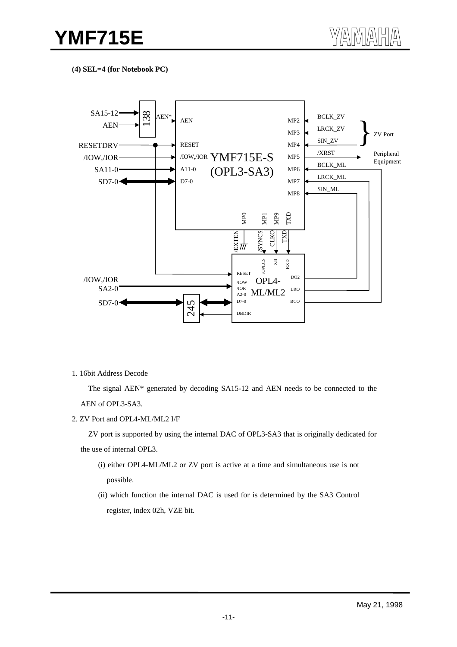**(4) SEL=4 (for Notebook PC)**



1. 16bit Address Decode

The signal AEN\* generated by decoding SA15-12 and AEN needs to be connected to the AEN of OPL3-SA3.

2. ZV Port and OPL4-ML/ML2 I/F

ZV port is supported by using the internal DAC of OPL3-SA3 that is originally dedicated for the use of internal OPL3.

- (i) either OPL4-ML/ML2 or ZV port is active at a time and simultaneous use is not possible.
- (ii) which function the internal DAC is used for is determined by the SA3 Control register, index 02h, VZE bit.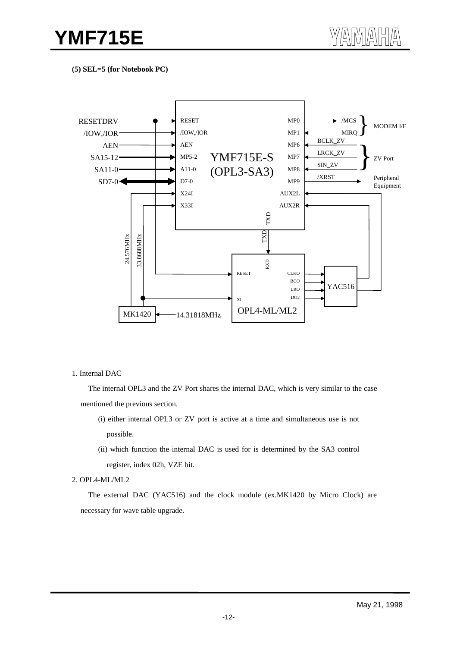**(5) SEL=5 (for Notebook PC)**



#### 1. Internal DAC

The internal OPL3 and the ZV Port shares the internal DAC, which is very similar to the case mentioned the previous section.

- (i) either internal OPL3 or ZV port is active at a time and simultaneous use is not possible.
- (ii) which function the internal DAC is used for is determined by the SA3 control register, index 02h, VZE bit.

#### 2. OPL4-ML/ML2

The external DAC (YAC516) and the clock module (ex.MK1420 by Micro Clock) are necessary for wave table upgrade.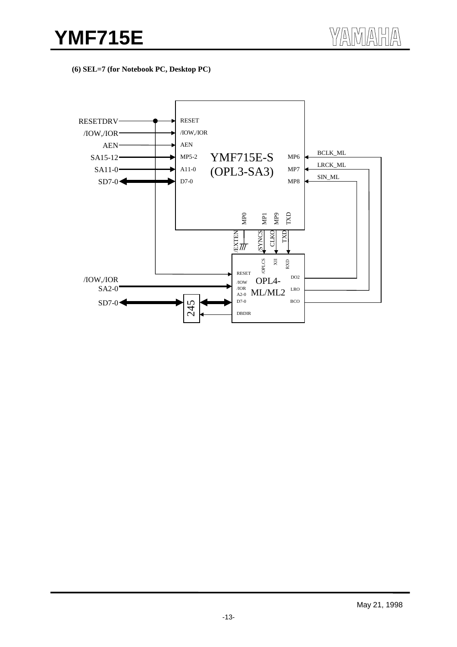**(6) SEL=7 (for Notebook PC, Desktop PC)**

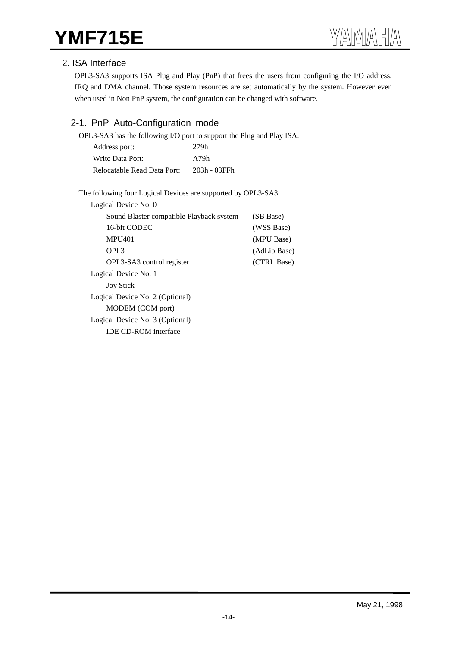# 2. ISA Interface

OPL3-SA3 supports ISA Plug and Play (PnP) that frees the users from configuring the I/O address, IRQ and DMA channel. Those system resources are set automatically by the system. However even when used in Non PnP system, the configuration can be changed with software.

# 2-1. PnP Auto-Configuration mode

OPL3-SA3 has the following I/O port to support the Plug and Play ISA.

| Address port:               | 279h         |
|-----------------------------|--------------|
| Write Data Port:            | A79h         |
| Relocatable Read Data Port: | 203h - 03FFh |

The following four Logical Devices are supported by OPL3-SA3.

| Logical Device No. 0                     |              |
|------------------------------------------|--------------|
| Sound Blaster compatible Playback system | (SB Base)    |
| 16-bit CODEC                             | (WSS Base)   |
| <b>MPU401</b>                            | (MPU Base)   |
| OPL <sub>3</sub>                         | (AdLib Base) |
| OPL3-SA3 control register                | (CTRL Base)  |
| Logical Device No. 1                     |              |
| <b>Joy Stick</b>                         |              |
| Logical Device No. 2 (Optional)          |              |
| MODEM (COM port)                         |              |
| Logical Device No. 3 (Optional)          |              |
| <b>IDE CD-ROM</b> interface              |              |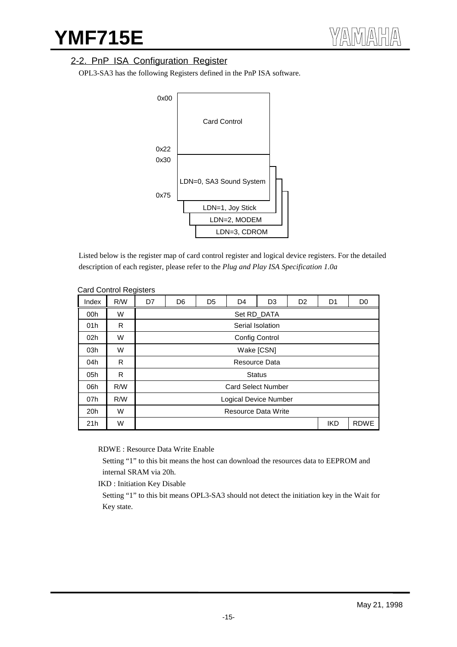# 2-2. PnP ISA Configuration Register

OPL3-SA3 has the following Registers defined in the PnP ISA software.



Listed below is the register map of card control register and logical device registers. For the detailed description of each register, please refer to the *Plug and Play ISA Specification 1.0a*

| Index           | R/W | ັ<br>D7 | D <sub>6</sub>        | D <sub>5</sub> | D <sub>4</sub>             | D <sub>3</sub>   | D <sub>2</sub> | D <sub>1</sub> | D <sub>0</sub> |
|-----------------|-----|---------|-----------------------|----------------|----------------------------|------------------|----------------|----------------|----------------|
| 00h             | W   |         |                       |                |                            | Set RD DATA      |                |                |                |
| 01h             | R   |         |                       |                |                            | Serial Isolation |                |                |                |
| 02 <sub>h</sub> | W   |         |                       |                |                            | Config Control   |                |                |                |
| 03h             | W   |         |                       |                |                            | Wake [CSN]       |                |                |                |
| 04h             | R   |         |                       |                |                            | Resource Data    |                |                |                |
| 05h             | R   |         |                       |                |                            | <b>Status</b>    |                |                |                |
| 06h             | R/W |         |                       |                | <b>Card Select Number</b>  |                  |                |                |                |
| 07h             | R/W |         | Logical Device Number |                |                            |                  |                |                |                |
| 20 <sub>h</sub> | W   |         |                       |                | <b>Resource Data Write</b> |                  |                |                |                |
| 21h             | W   |         |                       |                |                            |                  |                | <b>IKD</b>     | <b>RDWE</b>    |

#### Card Control Registers

RDWE : Resource Data Write Enable

 Setting "1" to this bit means the host can download the resources data to EEPROM and internal SRAM via 20h.

IKD : Initiation Key Disable

 Setting "1" to this bit means OPL3-SA3 should not detect the initiation key in the Wait for Key state.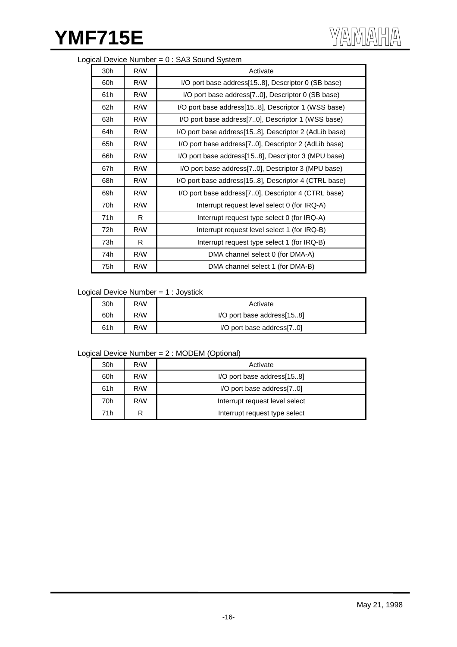## Logical Device Number = 0 : SA3 Sound System

| 30h | R/W | Activate                                              |
|-----|-----|-------------------------------------------------------|
| 60h | R/W | I/O port base address[158], Descriptor 0 (SB base)    |
| 61h | R/W | I/O port base address[70], Descriptor 0 (SB base)     |
| 62h | R/W | I/O port base address[158], Descriptor 1 (WSS base)   |
| 63h | R/W | I/O port base address [70], Descriptor 1 (WSS base)   |
| 64h | R/W | I/O port base address[158], Descriptor 2 (AdLib base) |
| 65h | R/W | I/O port base address[70], Descriptor 2 (AdLib base)  |
| 66h | R/W | I/O port base address[158], Descriptor 3 (MPU base)   |
| 67h | R/W | I/O port base address [70], Descriptor 3 (MPU base)   |
| 68h | R/W | I/O port base address[158], Descriptor 4 (CTRL base)  |
| 69h | R/W | I/O port base address[70], Descriptor 4 (CTRL base)   |
| 70h | R/W | Interrupt request level select 0 (for IRQ-A)          |
| 71h | R.  | Interrupt request type select 0 (for IRQ-A)           |
| 72h | R/W | Interrupt request level select 1 (for IRQ-B)          |
| 73h | R   | Interrupt request type select 1 (for IRQ-B)           |
| 74h | R/W | DMA channel select 0 (for DMA-A)                      |
| 75h | R/W | DMA channel select 1 (for DMA-B)                      |

#### Logical Device Number = 1 : Joystick

| 30h | R/W | Activate                   |
|-----|-----|----------------------------|
| 60h | R/W | I/O port base address[158] |
| 61h | R/W | I/O port base address[70]  |

#### Logical Device Number = 2 : MODEM (Optional)

| 30h | R/W | Activate                       |  |
|-----|-----|--------------------------------|--|
| 60h | R/W | I/O port base address[158]     |  |
| 61h | R/W | I/O port base address[70]      |  |
| 70h | R/W | Interrupt request level select |  |
| 71h | R   | Interrupt request type select  |  |
|     |     |                                |  |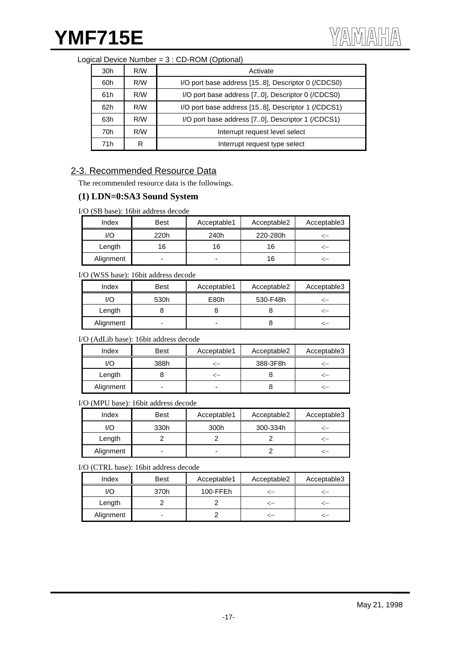| Logical Device Number = 3 : CD-ROM (Optional) |  |
|-----------------------------------------------|--|
|-----------------------------------------------|--|

| 30h        | R/W | Activate                                            |
|------------|-----|-----------------------------------------------------|
| R/W<br>60h |     | I/O port base address [15.8], Descriptor 0 (/CDCS0) |
| 61h        | R/W | I/O port base address [70], Descriptor 0 (/CDCS0)   |
| 62h        | R/W | I/O port base address [15.8], Descriptor 1 (/CDCS1) |
| 63h        | R/W | I/O port base address [70], Descriptor 1 (/CDCS1)   |
| 70h        | R/W | Interrupt request level select                      |
| 71h        | R   | Interrupt request type select                       |

# 2-3. Recommended Resource Data

The recommended resource data is the followings.

### **(1) LDN=0:SA3 Sound System**

I/O (SB base): 16bit address decode

| Index     | <b>Best</b> | Acceptable1 | Acceptable2 | Acceptable3 |
|-----------|-------------|-------------|-------------|-------------|
| l/O       | 220h        | 240h        | 220-280h    |             |
| Length    | 16          | 16          | 16          |             |
| Alignment | ۰           | -           | 16          |             |

#### I/O (WSS base): 16bit address decode

| Index     | Best | Acceptable1 | Acceptable2 | Acceptable3 |
|-----------|------|-------------|-------------|-------------|
| I/O       | 530h | E80h        | 530-F48h    |             |
| Length    |      |             |             |             |
| Alignment | -    |             |             |             |

I/O (AdLib base): 16bit address decode

| Index     | <b>Best</b> | Acceptable1 | Acceptable2 | Acceptable3 |
|-----------|-------------|-------------|-------------|-------------|
| I/O       | 388h        |             | 388-3F8h    |             |
| Length    |             |             |             |             |
| Alignment |             | -           |             |             |

I/O (MPU base): 16bit address decode

| Index     | <b>Best</b> | Acceptable1 | Acceptable2 | Acceptable3 |
|-----------|-------------|-------------|-------------|-------------|
| l/O       | 330h        | 300h        | 300-334h    |             |
| Length    |             |             |             |             |
| Alignment | ۰           | -           |             |             |

I/O (CTRL base): 16bit address decode

| Index     | <b>Best</b> | Acceptable1 | Acceptable2 | Acceptable3 |
|-----------|-------------|-------------|-------------|-------------|
| I/O       | 370h        | 100-FFEh    |             |             |
| Length    |             |             |             |             |
| Alignment |             |             |             |             |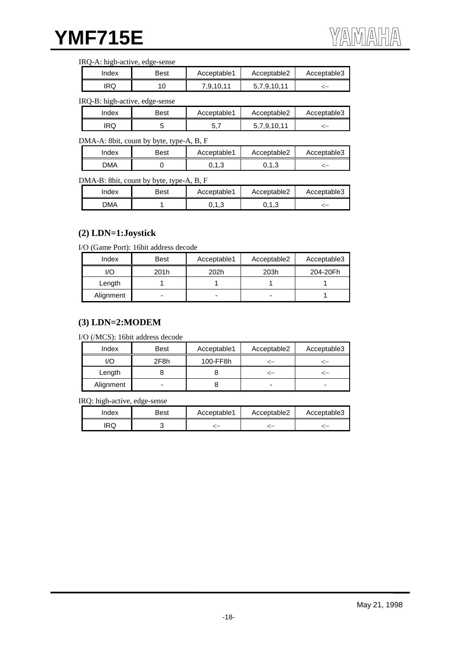#### IRQ-A: high-active, edge-sense

| Index | Best | Acceptable1 | Acceptable2 | Acceptable3 |
|-------|------|-------------|-------------|-------------|
| RQ    |      | 0.9,10,11   | .10.11      | -           |

#### IRQ-B: high-active, edge-sense

| Index | Best | Acceptable1 | Acceptable2 | Acceptable3 |
|-------|------|-------------|-------------|-------------|
| RQ    |      |             | 7 9 10 11   |             |

#### DMA-A: 8bit, count by byte, type-A, B, F

| ndex       | Best | Acceptable1 | Acceptable2 | Acceptable3 |
|------------|------|-------------|-------------|-------------|
| <b>DMA</b> |      | ∪.∪         | ن. ۱ ، ب    |             |

#### DMA-B: 8bit, count by byte, type-A, B, F

| Index | Best | Acceptable1           | Acceptable2 | Acceptable3 |
|-------|------|-----------------------|-------------|-------------|
| DМA   |      | $\overline{ }$<br>∪.∪ | ∪.∪         |             |

## **(2) LDN=1:Joystick**

I/O (Game Port): 16bit address decode

| Index     | Best | Acceptable1 | Acceptable2 | Acceptable3 |
|-----------|------|-------------|-------------|-------------|
| ./O       | 201h | 202h        | 203h        | 204-20Fh    |
| Length    |      |             |             |             |
| Alignment | -    |             |             |             |

### **(3) LDN=2:MODEM**

I/O (/MCS): 16bit address decode

| Index     | <b>Best</b> | Acceptable1 | Acceptable2 | Acceptable3 |
|-----------|-------------|-------------|-------------|-------------|
| I/O       | 2F8h        | 100-FF8h    |             |             |
| Length    |             |             |             |             |
| Alignment | -           |             |             |             |

IRQ: high-active, edge-sense

| Index | Best | Acceptable1 | Acceptable2 | Acceptable3 |
|-------|------|-------------|-------------|-------------|
| .RQ   |      |             |             |             |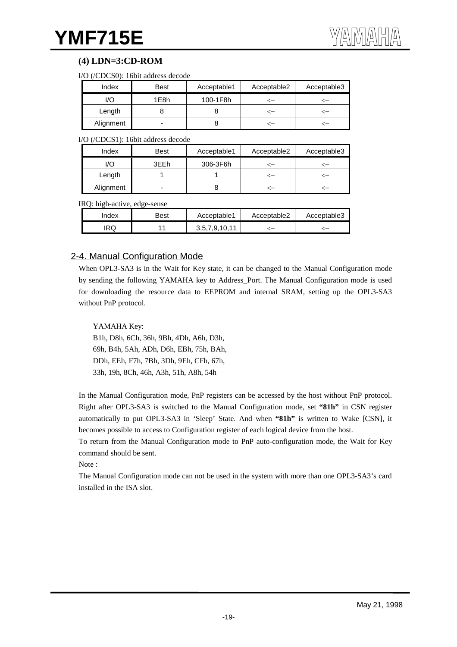# **(4) LDN=3:CD-ROM**

| I/O (/CDCS0): 16bit address decode |  |  |  |  |
|------------------------------------|--|--|--|--|
|------------------------------------|--|--|--|--|

| Index     | <b>Best</b> | Acceptable1 | Acceptable2 | Acceptable3 |
|-----------|-------------|-------------|-------------|-------------|
| I/O       | 1E8h        | 100-1F8h    |             |             |
| Length    |             |             |             |             |
| Alignment | -           |             |             |             |

I/O (/CDCS1): 16bit address decode

| Index     | <b>Best</b> | Acceptable1 | Acceptable2 | Acceptable3 |
|-----------|-------------|-------------|-------------|-------------|
| I/O       | 3EEh        | 306-3F6h    |             |             |
| Length    |             |             |             |             |
| Alignment |             |             |             |             |

IRQ: high-active, edge-sense

| Index | Best | Acceptable1   | Acceptable2 | Acceptable3 |
|-------|------|---------------|-------------|-------------|
| IRQ   |      | 3,5,7,9,10,11 |             |             |

# 2-4. Manual Configuration Mode

When OPL3-SA3 is in the Wait for Key state, it can be changed to the Manual Configuration mode by sending the following YAMAHA key to Address\_Port. The Manual Configuration mode is used for downloading the resource data to EEPROM and internal SRAM, setting up the OPL3-SA3 without PnP protocol.

### YAMAHA Key:

B1h, D8h, 6Ch, 36h, 9Bh, 4Dh, A6h, D3h, 69h, B4h, 5Ah, ADh, D6h, EBh, 75h, BAh, DDh, EEh, F7h, 7Bh, 3Dh, 9Eh, CFh, 67h, 33h, 19h, 8Ch, 46h, A3h, 51h, A8h, 54h

In the Manual Configuration mode, PnP registers can be accessed by the host without PnP protocol. Right after OPL3-SA3 is switched to the Manual Configuration mode, set **"81h"** in CSN register automatically to put OPL3-SA3 in 'Sleep' State. And when **"81h"** is written to Wake [CSN], it becomes possible to access to Configuration register of each logical device from the host.

To return from the Manual Configuration mode to PnP auto-configuration mode, the Wait for Key command should be sent.

Note :

The Manual Configuration mode can not be used in the system with more than one OPL3-SA3's card installed in the ISA slot.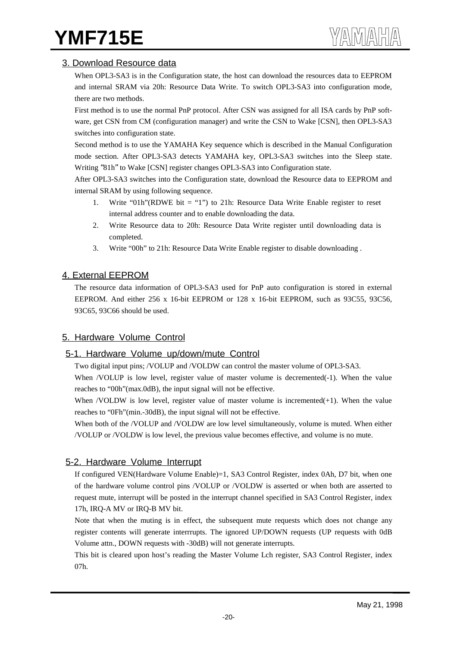# 3. Download Resource data

When OPL3-SA3 is in the Configuration state, the host can download the resources data to EEPROM and internal SRAM via 20h: Resource Data Write. To switch OPL3-SA3 into configuration mode, there are two methods.

First method is to use the normal PnP protocol. After CSN was assigned for all ISA cards by PnP software, get CSN from CM (configuration manager) and write the CSN to Wake [CSN], then OPL3-SA3 switches into configuration state.

Second method is to use the YAMAHA Key sequence which is described in the Manual Configuration mode section. After OPL3-SA3 detects YAMAHA key, OPL3-SA3 switches into the Sleep state. Writing "81h" to Wake [CSN] register changes OPL3-SA3 into Configuration state.

After OPL3-SA3 switches into the Configuration state, download the Resource data to EEPROM and internal SRAM by using following sequence.

- 1. Write "01h"(RDWE bit = "1") to 21h: Resource Data Write Enable register to reset internal address counter and to enable downloading the data.
- 2. Write Resource data to 20h: Resource Data Write register until downloading data is completed.
- 3. Write "00h" to 21h: Resource Data Write Enable register to disable downloading .

# 4. External EEPROM

The resource data information of OPL3-SA3 used for PnP auto configuration is stored in external EEPROM. And either 256 x 16-bit EEPROM or 128 x 16-bit EEPROM, such as 93C55, 93C56, 93C65, 93C66 should be used.

# 5. Hardware Volume Control

# 5-1. Hardware Volume up/down/mute Control

Two digital input pins; /VOLUP and /VOLDW can control the master volume of OPL3-SA3.

When /VOLUP is low level, register value of master volume is decremented(-1). When the value reaches to "00h"(max.0dB), the input signal will not be effective.

When /VOLDW is low level, register value of master volume is incremented $(+1)$ . When the value reaches to "0Fh"(min.-30dB), the input signal will not be effective.

When both of the /VOLUP and /VOLDW are low level simultaneously, volume is muted. When either /VOLUP or /VOLDW is low level, the previous value becomes effective, and volume is no mute.

# 5-2. Hardware Volume Interrupt

If configured VEN(Hardware Volume Enable)=1, SA3 Control Register, index 0Ah, D7 bit, when one of the hardware volume control pins /VOLUP or /VOLDW is asserted or when both are asserted to request mute, interrupt will be posted in the interrupt channel specified in SA3 Control Register, index 17h, IRQ-A MV or IRQ-B MV bit.

Note that when the muting is in effect, the subsequent mute requests which does not change any register contents will generate interrrupts. The ignored UP/DOWN requests (UP requests with 0dB Volume attn., DOWN requests with -30dB) will not generate interrupts.

This bit is cleared upon host's reading the Master Volume Lch register, SA3 Control Register, index 07h.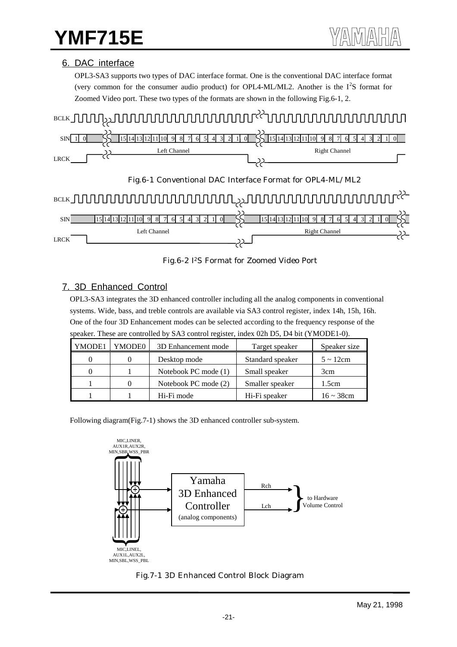## 6. DAC interface

OPL3-SA3 supports two types of DAC interface format. One is the conventional DAC interface format (very common for the consumer audio product) for OPL4-ML/ML2. Another is the  $I^2S$  format for Zoomed Video port. These two types of the formats are shown in the following Fig.6-1, 2.



Fig.6-2 I2S Format for Zoomed Video Port

# 7. 3D Enhanced Control

OPL3-SA3 integrates the 3D enhanced controller including all the analog components in conventional systems. Wide, bass, and treble controls are available via SA3 control register, index 14h, 15h, 16h. One of the four 3D Enhancement modes can be selected according to the frequency response of the speaker. These are controlled by SA3 control register, index 02h D5, D4 bit (YMODE1-0).

| YMODE1 | YMODE0 | 3D Enhancement mode  | Target speaker   | Speaker size    |
|--------|--------|----------------------|------------------|-----------------|
|        |        | Desktop mode         | Standard speaker | $5 \sim 12$ cm  |
|        |        | Notebook PC mode (1) | Small speaker    | 3cm             |
|        |        | Notebook PC mode (2) | Smaller speaker  | 1.5cm           |
|        |        | Hi-Fi mode           | Hi-Fi speaker    | $16 \sim 38$ cm |

Following diagram(Fig.7-1) shows the 3D enhanced controller sub-system.



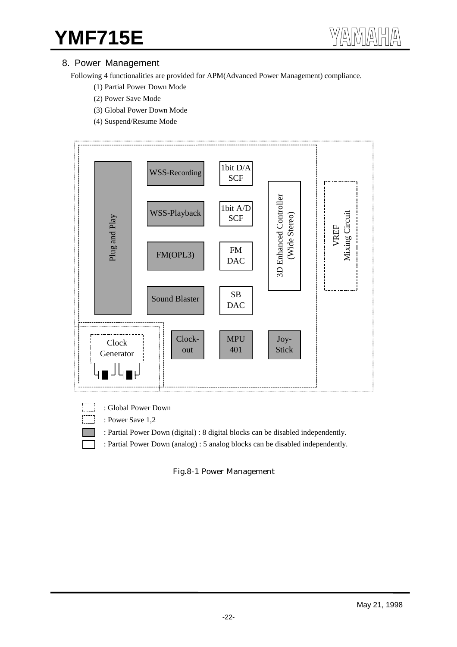# 8. Power Management

Following 4 functionalities are provided for APM(Advanced Power Management) compliance.

- (1) Partial Power Down Mode
- (2) Power Save Mode
- (3) Global Power Down Mode
- (4) Suspend/Resume Mode



- : Global Power Down
	- : Power Save 1,2
		- : Partial Power Down (digital) : 8 digital blocks can be disabled independently.
	- : Partial Power Down (analog) : 5 analog blocks can be disabled independently.

Fig.8-1 Power Management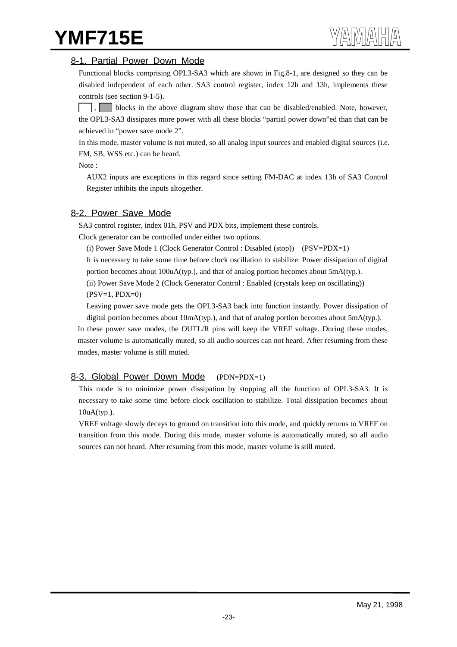## 8-1. Partial Power Down Mode

Functional blocks comprising OPL3-SA3 which are shown in Fig.8-1, are designed so they can be disabled independent of each other. SA3 control register, index 12h and 13h, implements these controls (see section 9-1-5).

blocks in the above diagram show those that can be disabled/enabled. Note, however, the OPL3-SA3 dissipates more power with all these blocks "partial power down"ed than that can be achieved in "power save mode 2".

In this mode, master volume is not muted, so all analog input sources and enabled digital sources (i.e. FM, SB, WSS etc.) can be heard.

Note :

AUX2 inputs are exceptions in this regard since setting FM-DAC at index 13h of SA3 Control Register inhibits the inputs altogether.

## 8-2. Power Save Mode

SA3 control register, index 01h, PSV and PDX bits, implement these controls.

Clock generator can be controlled under either two options.

(i) Power Save Mode 1 (Clock Generator Control : Disabled (stop)) (PSV=PDX=1)

It is necessary to take some time before clock oscillation to stabilize. Power dissipation of digital portion becomes about 100uA(typ.), and that of analog portion becomes about 5mA(typ.).

(ii) Power Save Mode 2 (Clock Generator Control : Enabled (crystals keep on oscillating))  $(PSV=1, PDX=0)$ 

Leaving power save mode gets the OPL3-SA3 back into function instantly. Power dissipation of digital portion becomes about 10mA(typ.), and that of analog portion becomes about 5mA(typ.).

In these power save modes, the OUTL/R pins will keep the VREF voltage. During these modes, master volume is automatically muted, so all audio sources can not heard. After resuming from these modes, master volume is still muted.

# 8-3. Global Power Down Mode (PDN=PDX=1)

This mode is to minimize power dissipation by stopping all the function of OPL3-SA3. It is necessary to take some time before clock oscillation to stabilize. Total dissipation becomes about 10uA(typ.).

VREF voltage slowly decays to ground on transition into this mode, and quickly returns to VREF on transition from this mode. During this mode, master volume is automatically muted, so all audio sources can not heard. After resuming from this mode, master volume is still muted.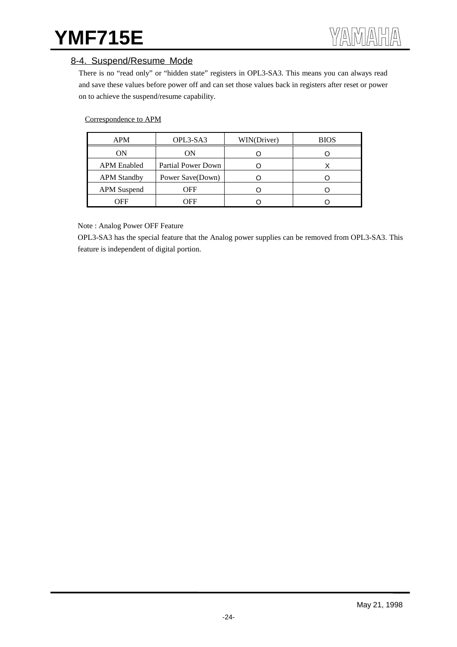## 8-4. Suspend/Resume Mode

There is no "read only" or "hidden state" registers in OPL3-SA3. This means you can always read and save these values before power off and can set those values back in registers after reset or power on to achieve the suspend/resume capability.

#### Correspondence to APM

| APM                | OPL3-SA3           | WIN(Driver) | <b>BIOS</b> |
|--------------------|--------------------|-------------|-------------|
| ΟN                 | ON                 |             |             |
| <b>APM</b> Enabled | Partial Power Down |             |             |
| <b>APM Standby</b> | Power Save(Down)   |             |             |
| <b>APM</b> Suspend | OFF                |             |             |
| OFF                | OFF                |             |             |

Note : Analog Power OFF Feature

OPL3-SA3 has the special feature that the Analog power supplies can be removed from OPL3-SA3. This feature is independent of digital portion.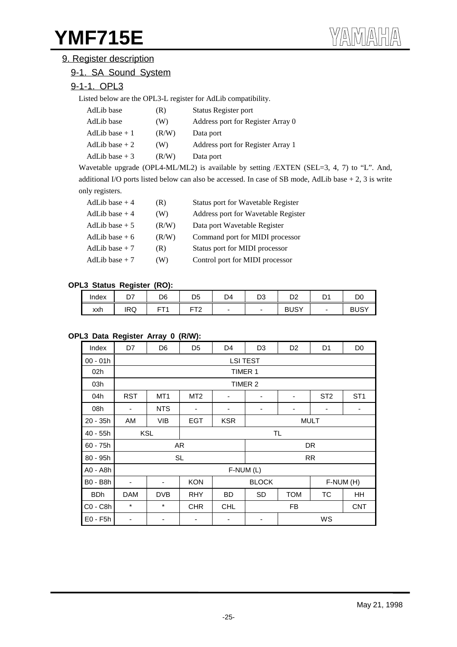# 9. Register description

# 9-1. SA Sound System

# 9-1-1. OPL3

Listed below are the OPL3-L register for AdLib compatibility.

| AdLib base      | (R)   | Status Register port              |
|-----------------|-------|-----------------------------------|
| AdLib base      | (W)   | Address port for Register Array 0 |
| AdLib base $+1$ | (R/W) | Data port                         |
| AdLib base $+2$ | (W)   | Address port for Register Array 1 |
| AdLib base $+3$ | (R/W) | Data port                         |

Wavetable upgrade (OPL4-ML/ML2) is available by setting /EXTEN (SEL=3, 4, 7) to "L". And, additional I/O ports listed below can also be accessed. In case of SB mode, AdLib base + 2, 3 is write only registers.

| AdLib base $+4$ | (R)   | Status port for Wavetable Register  |
|-----------------|-------|-------------------------------------|
| AdLib base $+4$ | (W)   | Address port for Wavetable Register |
| AdLib base $+5$ | (R/W) | Data port Wavetable Register        |
| AdLib base $+6$ | (R/W) | Command port for MIDI processor     |
| AdLib base $+7$ | (R)   | Status port for MIDI processor      |
| AdLib base $+7$ | (W)   | Control port for MIDI processor     |

#### **OPL3 Status Register (RO):**

| Index | ~~<br>. ب  | D <sub>6</sub> | D5                   | D4 | no.<br>טש | מח<br>◡▵    | D1<br>້ | D.<br>יש      |
|-------|------------|----------------|----------------------|----|-----------|-------------|---------|---------------|
| xxh   | <b>IRQ</b> | --<br>┕        | rto<br>►<br><u>_</u> | -  | -         | <b>BUSY</b> | -       | $\sim$<br>BUS |

#### **OPL3 Data Register Array 0 (R/W):**

| Index      | D7                       | D6              | D <sub>5</sub>                 | D4         | D <sub>3</sub> | D <sub>2</sub> | D <sub>1</sub>  | D <sub>0</sub>  |  |  |
|------------|--------------------------|-----------------|--------------------------------|------------|----------------|----------------|-----------------|-----------------|--|--|
| $00 - 01h$ |                          | <b>LSI TEST</b> |                                |            |                |                |                 |                 |  |  |
| 02h        |                          |                 |                                | TIMER 1    |                |                |                 |                 |  |  |
| 03h        |                          |                 |                                |            | TIMER 2        |                |                 |                 |  |  |
| 04h        | <b>RST</b>               | MT <sub>1</sub> | MT <sub>2</sub>                | -          | ۰              | ۰              | ST <sub>2</sub> | ST <sub>1</sub> |  |  |
| 08h        | ۰                        | <b>NTS</b>      |                                | -          | ٠              | -              | ٠               | ٠               |  |  |
| $20 - 35h$ | AM                       | VIB             | <b>EGT</b>                     | <b>KSR</b> | <b>MULT</b>    |                |                 |                 |  |  |
| $40 - 55h$ |                          | <b>KSL</b>      |                                |            | TL.            |                |                 |                 |  |  |
| $60 - 75h$ |                          |                 | AR                             |            |                |                | DR              |                 |  |  |
| $80 - 95h$ |                          |                 | <b>SL</b>                      |            |                |                | <b>RR</b>       |                 |  |  |
| A0 - A8h   |                          |                 |                                | F-NUM (L)  |                |                |                 |                 |  |  |
| B0 - B8h   | $\overline{\phantom{a}}$ | -               | <b>KON</b>                     |            | <b>BLOCK</b>   |                |                 | F-NUM (H)       |  |  |
| <b>BDh</b> | <b>DAM</b>               | <b>DVB</b>      | <b>RHY</b>                     | <b>BD</b>  |                | <b>TOM</b>     | TC              | HH              |  |  |
| C0 - C8h   | $\star$                  | *               | <b>CHR</b><br><b>CHL</b><br>FB |            |                |                | <b>CNT</b>      |                 |  |  |
| $E0 - F5h$ |                          | WS              |                                |            |                |                |                 |                 |  |  |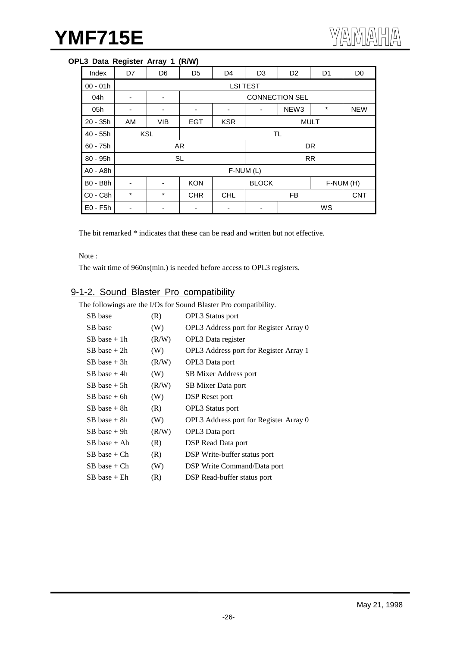## **OPL3 Data Register Array 1 (R/W)**

| Index           | D7         | D <sub>6</sub> | D <sub>5</sub> | D <sub>4</sub>            | D <sub>3</sub>  | D <sub>2</sub>        | D <sub>1</sub> | D <sub>0</sub> |
|-----------------|------------|----------------|----------------|---------------------------|-----------------|-----------------------|----------------|----------------|
| $00 - 01h$      |            |                |                |                           | <b>LSI TEST</b> |                       |                |                |
| 04h             |            |                |                |                           |                 | <b>CONNECTION SEL</b> |                |                |
| 05h             | ۰          | ٠              | ۰              | -                         |                 | NEW <sub>3</sub>      | $^\star$       | <b>NEW</b>     |
| $20 - 35h$      | AM         | <b>VIB</b>     | <b>EGT</b>     | <b>MULT</b><br><b>KSR</b> |                 |                       |                |                |
| 40 - 55h        |            | <b>KSL</b>     |                |                           |                 | <b>TL</b>             |                |                |
| $60 - 75h$      |            | AR             |                |                           |                 |                       | DR             |                |
| 80 - 95h        |            |                | <b>SL</b>      |                           |                 |                       | <b>RR</b>      |                |
| A0 - A8h        |            |                |                | F-NUM (L)                 |                 |                       |                |                |
| <b>B0 - B8h</b> | <b>KON</b> |                |                |                           | <b>BLOCK</b>    |                       |                | F-NUM (H)      |
| $CO - C8h$      | $^\star$   | $\star$        | <b>CHR</b>     | <b>CHL</b><br><b>FB</b>   |                 |                       | <b>CNT</b>     |                |
| $E0 - F5h$      |            |                | WS             |                           |                 |                       |                |                |

The bit remarked \* indicates that these can be read and written but not effective.

Note :

The wait time of 960ns(min.) is needed before access to OPL3 registers.

# 9-1-2. Sound Blaster Pro compatibility

The followings are the I/Os for Sound Blaster Pro compatibility.

| SB base          | (R)   | <b>OPL3</b> Status port                |
|------------------|-------|----------------------------------------|
| SB base          | (W)   | OPL3 Address port for Register Array 0 |
| $SB$ base $+1h$  | (R/W) | OPL3 Data register                     |
| $SB$ base $+2h$  | (W)   | OPL3 Address port for Register Array 1 |
| $SB$ base $+3h$  | (R/W) | OPL3 Data port                         |
| $SB$ base $+$ 4h | (W)   | SB Mixer Address port                  |
| $SB$ base $+$ 5h | (R/W) | SB Mixer Data port                     |
| $SB$ base $+$ 6h | (W)   | DSP Reset port                         |
| $SB$ base $+$ 8h | (R)   | <b>OPL3</b> Status port                |
| $SB$ base $+$ 8h | (W)   | OPL3 Address port for Register Array 0 |
| $SB$ base $+$ 9h | (R/W) | OPL3 Data port                         |
| SB base + Ah     | (R)   | <b>DSP</b> Read Data port              |
| $SB$ base + $Ch$ | (R)   | DSP Write-buffer status port           |
| $SB$ base + $Ch$ | (W)   | DSP Write Command/Data port            |
| SB base + Eh     | (R)   | DSP Read-buffer status port            |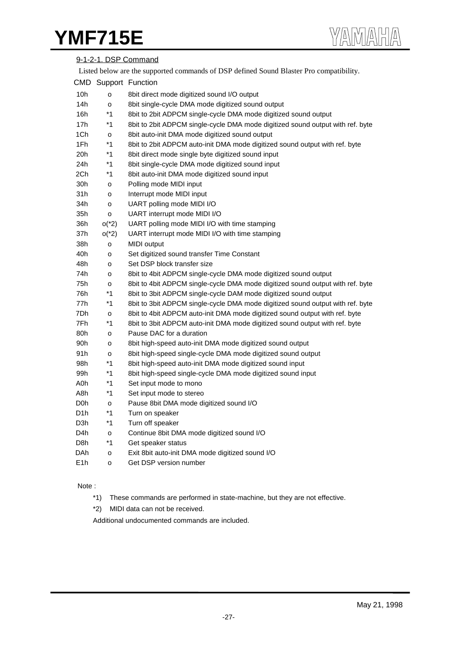| 9-1-2-1. DSP Command |                                                                                         |                                                                                |  |  |  |  |  |
|----------------------|-----------------------------------------------------------------------------------------|--------------------------------------------------------------------------------|--|--|--|--|--|
|                      | Listed below are the supported commands of DSP defined Sound Blaster Pro compatibility. |                                                                                |  |  |  |  |  |
|                      |                                                                                         | CMD Support Function                                                           |  |  |  |  |  |
| 10h                  | $\circ$                                                                                 | 8bit direct mode digitized sound I/O output                                    |  |  |  |  |  |
| 14h                  | o                                                                                       | 8bit single-cycle DMA mode digitized sound output                              |  |  |  |  |  |
| 16h                  | $*1$                                                                                    | 8bit to 2bit ADPCM single-cycle DMA mode digitized sound output                |  |  |  |  |  |
| 17h                  | $*1$                                                                                    | 8bit to 2bit ADPCM single-cycle DMA mode digitized sound output with ref. byte |  |  |  |  |  |
| 1Ch                  | o                                                                                       | 8bit auto-init DMA mode digitized sound output                                 |  |  |  |  |  |
| 1Fh                  | $*1$                                                                                    | 8bit to 2bit ADPCM auto-init DMA mode digitized sound output with ref. byte    |  |  |  |  |  |
| 20h                  | $*1$                                                                                    | 8bit direct mode single byte digitized sound input                             |  |  |  |  |  |
| 24h                  | $*1$                                                                                    | 8bit single-cycle DMA mode digitized sound input                               |  |  |  |  |  |
| 2Ch                  | $*1$                                                                                    | 8bit auto-init DMA mode digitized sound input                                  |  |  |  |  |  |
| 30h                  | $\mathsf{o}$                                                                            | Polling mode MIDI input                                                        |  |  |  |  |  |
| 31h                  | o                                                                                       | Interrupt mode MIDI input                                                      |  |  |  |  |  |
| 34h                  | $\mathsf{o}$                                                                            | UART polling mode MIDI I/O                                                     |  |  |  |  |  |
| 35h                  | $\mathsf{o}$                                                                            | UART interrupt mode MIDI I/O                                                   |  |  |  |  |  |
| 36h                  | $o(^{*}2)$                                                                              | UART polling mode MIDI I/O with time stamping                                  |  |  |  |  |  |
| 37h                  | $o(^{*}2)$                                                                              | UART interrupt mode MIDI I/O with time stamping                                |  |  |  |  |  |
| 38h                  | o                                                                                       | MIDI output                                                                    |  |  |  |  |  |
| 40h                  | o                                                                                       | Set digitized sound transfer Time Constant                                     |  |  |  |  |  |
| 48h                  | o                                                                                       | Set DSP block transfer size                                                    |  |  |  |  |  |
| 74h                  | o                                                                                       | 8bit to 4bit ADPCM single-cycle DMA mode digitized sound output                |  |  |  |  |  |
| 75h                  | o                                                                                       | 8bit to 4bit ADPCM single-cycle DMA mode digitized sound output with ref. byte |  |  |  |  |  |
| 76h                  | $*1$                                                                                    | 8bit to 3bit ADPCM single-cycle DAM mode digitized sound output                |  |  |  |  |  |
| 77h                  | $*1$                                                                                    | 8bit to 3bit ADPCM single-cycle DMA mode digitized sound output with ref. byte |  |  |  |  |  |
| 7Dh                  | $\mathsf{o}$                                                                            | 8bit to 4bit ADPCM auto-init DMA mode digitized sound output with ref. byte    |  |  |  |  |  |
| 7Fh                  | $*1$                                                                                    | 8bit to 3bit ADPCM auto-init DMA mode digitized sound output with ref. byte    |  |  |  |  |  |
| 80h                  | o                                                                                       | Pause DAC for a duration                                                       |  |  |  |  |  |
| 90h                  | o                                                                                       | 8bit high-speed auto-init DMA mode digitized sound output                      |  |  |  |  |  |
| 91h                  | o                                                                                       | 8bit high-speed single-cycle DMA mode digitized sound output                   |  |  |  |  |  |
| 98h                  | $*1$                                                                                    | 8bit high-speed auto-init DMA mode digitized sound input                       |  |  |  |  |  |
| 99h                  | $*1$                                                                                    | 8bit high-speed single-cycle DMA mode digitized sound input                    |  |  |  |  |  |
| A0h                  | $*1$                                                                                    | Set input mode to mono                                                         |  |  |  |  |  |
| A8h                  | $*1$                                                                                    | Set input mode to stereo                                                       |  |  |  |  |  |
| D <sub>0</sub> h     | $\mathsf{o}$                                                                            | Pause 8bit DMA mode digitized sound I/O                                        |  |  |  |  |  |
| D <sub>1</sub> h     | $*1$                                                                                    | Turn on speaker                                                                |  |  |  |  |  |
| D3h                  | $*1$                                                                                    | Turn off speaker                                                               |  |  |  |  |  |
| D <sub>4</sub> h     | $\mathsf{o}$                                                                            | Continue 8bit DMA mode digitized sound I/O                                     |  |  |  |  |  |
| D8h                  | $*1$                                                                                    | Get speaker status                                                             |  |  |  |  |  |
| DAh                  | o                                                                                       | Exit 8bit auto-init DMA mode digitized sound I/O                               |  |  |  |  |  |
| E <sub>1</sub> h     | $\mathsf{o}$                                                                            | Get DSP version number                                                         |  |  |  |  |  |

#### Note :

- \*1) These commands are performed in state-machine, but they are not effective.
- \*2) MIDI data can not be received.

Additional undocumented commands are included.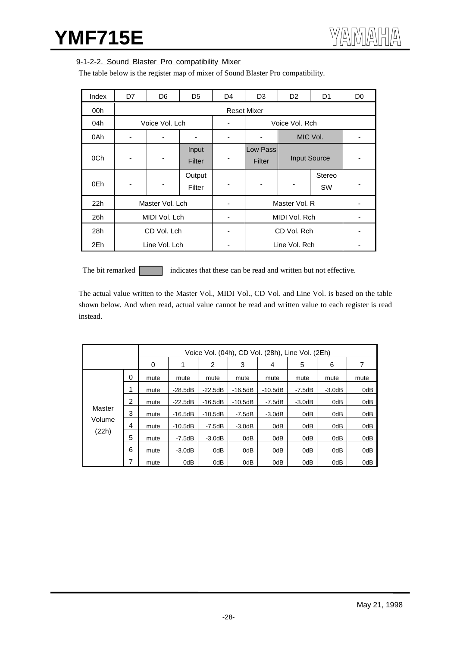## 9-1-2-2. Sound Blaster Pro compatibility Mixer

The table below is the register map of mixer of Sound Blaster Pro compatibility.

| Index | D7            | D <sub>6</sub>  | D <sub>5</sub>   | D <sub>4</sub> | D <sub>3</sub>     | D <sub>2</sub>      | D <sub>1</sub>      | D <sub>0</sub> |
|-------|---------------|-----------------|------------------|----------------|--------------------|---------------------|---------------------|----------------|
| 00h   |               |                 |                  |                | <b>Reset Mixer</b> |                     |                     |                |
| 04h   |               | Voice Vol. Lch  |                  | ۰              |                    | Voice Vol. Rch      |                     |                |
| 0Ah   | ٠             |                 |                  | -              |                    |                     | MIC Vol.            |                |
| 0Ch   | -             |                 | Input<br>Filter  |                | Low Pass<br>Filter | <b>Input Source</b> |                     |                |
| 0Eh   | -             |                 | Output<br>Filter |                |                    |                     | Stereo<br><b>SW</b> |                |
| 22h   |               | Master Vol. Lch |                  |                |                    | Master Vol. R       |                     |                |
| 26h   | MIDI Vol. Lch |                 |                  |                | MIDI Vol. Rch      |                     |                     |                |
| 28h   | CD Vol. Lch   |                 |                  | ۰              | CD Vol. Rch        |                     |                     | -              |
| 2Eh   |               | Line Vol. Lch   |                  |                |                    | Line Vol. Rch       |                     |                |

The bit remarked indicates that these can be read and written but not effective.

The actual value written to the Master Vol., MIDI Vol., CD Vol. and Line Vol. is based on the table shown below. And when read, actual value cannot be read and written value to each register is read instead.

|        |   |      |           |           |           | Voice Vol. (04h), CD Vol. (28h), Line Vol. (2Eh) |          |          |      |
|--------|---|------|-----------|-----------|-----------|--------------------------------------------------|----------|----------|------|
|        |   | 0    |           | 2         | 3         | 4                                                | 5        | 6        | 7    |
|        | 0 | mute | mute      | mute      | mute      | mute                                             | mute     | mute     | mute |
|        | 1 | mute | $-28.5dB$ | $-22.5dB$ | $-16.5dB$ | $-10.5dB$                                        | -7.5dB   | $-3.0dB$ | 0dB  |
|        | 2 | mute | $-22.5dB$ | $-16.5dB$ | $-10.5dB$ | $-7.5dB$                                         | $-3.0dB$ | 0dB      | 0dB  |
| Master | 3 | mute | $-16.5dB$ | $-10.5dB$ | $-7.5dB$  | $-3.0dB$                                         | 0dB      | 0dB      | 0dB  |
| Volume | 4 | mute | $-10.5dB$ | $-7.5dB$  | $-3.0dB$  | 0dB                                              | 0dB      | 0dB      | 0dB  |
| (22h)  | 5 | mute | $-7.5dB$  | $-3.0dB$  | 0dB       | 0dB                                              | 0dB      | 0dB      | 0dB  |
|        | 6 | mute | $-3.0dB$  | 0dB       | 0dB       | 0dB                                              | 0dB      | 0dB      | 0dB  |
|        | 7 | mute | 0dB       | 0dB       | 0dB       | 0dB                                              | 0dB      | 0dB      | 0dB  |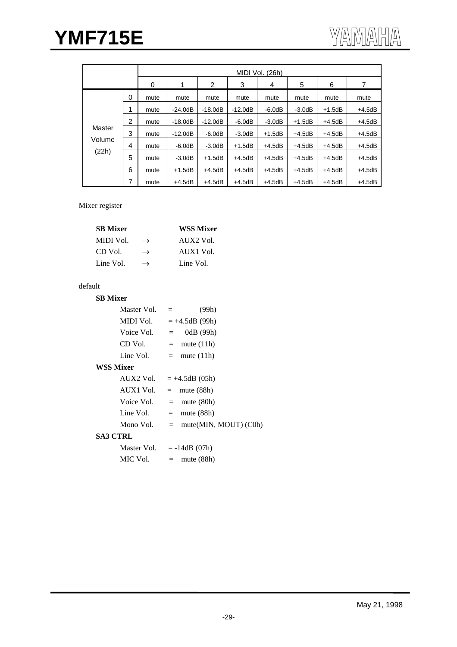|        |   | MIDI Vol. (26h) |           |           |           |          |          |          |          |  |
|--------|---|-----------------|-----------|-----------|-----------|----------|----------|----------|----------|--|
|        |   | 0               | 1         | 2         | 3         | 4        | 5        | 6        |          |  |
|        | 0 | mute            | mute      | mute      | mute      | mute     | mute     | mute     | mute     |  |
|        |   | mute            | $-24.0dB$ | $-18.0dB$ | $-12.0dB$ | $-6.0dB$ | $-3.0dB$ | $+1.5dB$ | $+4.5dB$ |  |
|        | 2 | mute            | $-18.0dB$ | $-12.0dB$ | $-6.0dB$  | $-3.0dB$ | $+1.5dB$ | $+4.5dB$ | $+4.5dB$ |  |
| Master | 3 | mute            | $-12.0dB$ | $-6.0dB$  | $-3.0dB$  | $+1.5dB$ | $+4.5dB$ | $+4.5dB$ | $+4.5dB$ |  |
| Volume | 4 | mute            | $-6.0dB$  | $-3.0dB$  | $+1.5dB$  | $+4.5dB$ | $+4.5dB$ | $+4.5dB$ | $+4.5dB$ |  |
| (22h)  | 5 | mute            | $-3.0dB$  | $+1.5dB$  | $+4.5dB$  | $+4.5dB$ | $+4.5dB$ | $+4.5dB$ | $+4.5dB$ |  |
|        | 6 | mute            | $+1.5dB$  | $+4.5dB$  | $+4.5dB$  | $+4.5dB$ | $+4.5dB$ | $+4.5dB$ | $+4.5dB$ |  |
|        | 7 | mute            | $+4.5dB$  | $+4.5dB$  | $+4.5dB$  | $+4.5dB$ | $+4.5dB$ | $+4.5dB$ | $+4.5dB$ |  |

#### Mixer register

|               | <b>WSS Mixer</b> |
|---------------|------------------|
| $\rightarrow$ | AIIX2 Vol.       |
| $\rightarrow$ | AUX1 Vol.        |
| $\rightarrow$ | Line Vol.        |
|               |                  |

# default

| <b>SB Mixer</b> |                              |
|-----------------|------------------------------|
| Master Vol.     | (99h)<br>$=$                 |
| MIDI Vol.       | $=+4.5dB(99h)$               |
| Voice Vol.      | 0dB (99h)<br>$=$ $-$         |
| CD Vol.         | $=$ mute (11h)               |
| Line Vol.       | $=$ mute (11h)               |
| WSS Mixer       |                              |
| AUX2 Vol.       | $= +4.5dB(05h)$              |
| AUX1 Vol.       | $=$ mute (88h)               |
| Voice Vol.      | $=$ mute (80h)               |
| Line Vol.       | mute $(88h)$<br>$=$          |
| Mono Vol.       | mute(MIN, MOUT) (C0h)<br>$=$ |
| SA3 CTRL        |                              |
| Master Vol.     | $= -14dB(07h)$               |
| MIC Vol.        | mute $(88h)$<br>$=$          |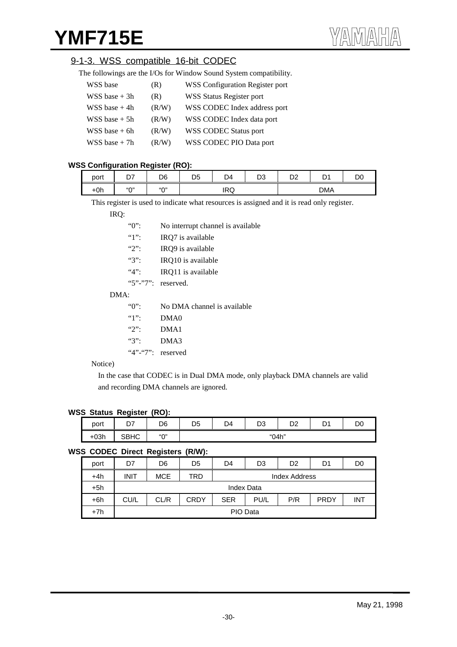# 9-1-3. WSS compatible 16-bit CODEC

| The followings are the I/Os for Window Sound System compatibility. |  |  |
|--------------------------------------------------------------------|--|--|
|                                                                    |  |  |
|                                                                    |  |  |
|                                                                    |  |  |

| WSS base        | (R)   | <b>WSS Configuration Register port</b> |
|-----------------|-------|----------------------------------------|
| $WSS base + 3h$ | (R)   | <b>WSS Status Register port</b>        |
| WSS base $+4h$  | (R/W) | WSS CODEC Index address port           |
| $WSS base + 5h$ | (R/W) | WSS CODEC Index data port              |
| $WSS base + 6h$ | (R/W) | <b>WSS CODEC Status port</b>           |
| $WSS base + 7h$ | (R/W) | WSS CODEC PIO Data port                |

## **WSS Configuration Register (RO):**

| port  | --<br>້ | .<br>D6      | DΕ<br>◡ | D4         | no.<br>טש | no.<br>◡▵ | $\nabla$<br>ັ | D <sub>0</sub> |
|-------|---------|--------------|---------|------------|-----------|-----------|---------------|----------------|
| $+0h$ | 501     | $``\bigcap"$ |         | <b>IRQ</b> |           |           | <b>DMA</b>    |                |

This register is used to indicate what resources is assigned and it is read only register.

#### IRQ:

| "0":                             | No interrupt channel is available. |  |  |
|----------------------------------|------------------------------------|--|--|
| 41                               | IRQ7 is available                  |  |  |
| $\mathcal{L}$                    | IRQ9 is available                  |  |  |
| ``3"                             | IRQ10 is available                 |  |  |
| 4.4<br>IRQ11 is available        |                                    |  |  |
|                                  | " $5$ " $-$ " $7$ ": reserved.     |  |  |
| DMA:                             |                                    |  |  |
| $\lq\lq\lq\lq\lq\lq\lq$          | No DMA channel is available        |  |  |
| $\lq\lq\lq\lq\lq\lq\lq\lq\lq\lq$ | DMA <sub>0</sub>                   |  |  |
| $\mathcal{L}$                    | DMA1                               |  |  |
| ``3"                             | DMA3                               |  |  |
| " $4"$ -" $7"$ : reserved        |                                    |  |  |
|                                  |                                    |  |  |

#### Notice)

In the case that CODEC is in Dual DMA mode, only playback DMA channels are valid and recording DMA channels are ignored.

#### **WSS Status Register (RO):**

| port   | . .<br>n7   | D6        | D <sub>5</sub> | D4 | D <sub>0</sub> | D <sub>2</sub> | <sub>D</sub> |  |
|--------|-------------|-----------|----------------|----|----------------|----------------|--------------|--|
|        | - -         |           |                |    | υs             |                | ັ            |  |
| $+03h$ | <b>SBHC</b> | $``\cap"$ |                |    | "04h"          |                |              |  |

### **WSS CODEC Direct Registers (R/W):**

| port  | D7          | D6         | D5          | D4                                       | D3 | D2 | D1 | D <sub>0</sub> |
|-------|-------------|------------|-------------|------------------------------------------|----|----|----|----------------|
| +4h   | <b>INIT</b> | <b>MCE</b> | TRD         | Index Address                            |    |    |    |                |
| +5h   |             |            |             | <b>Index Data</b>                        |    |    |    |                |
| $+6h$ | CU/L        | CL/R       | <b>CRDY</b> | P/R<br><b>PRDY</b><br><b>SER</b><br>PU/L |    |    |    | <b>INT</b>     |
| $+7h$ |             |            |             | PIO Data                                 |    |    |    |                |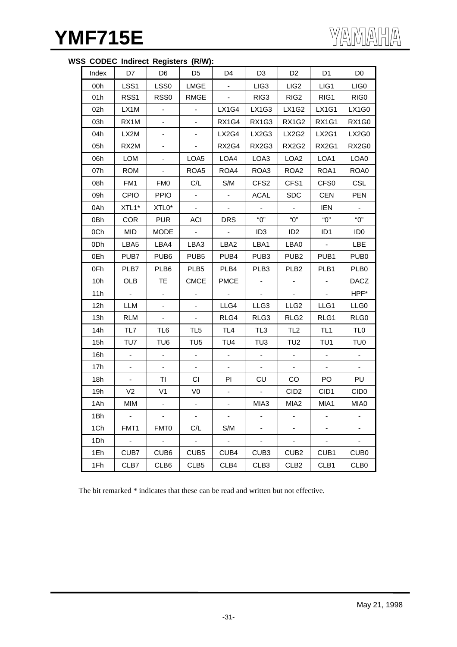| Index | D7               | D6                       | D <sub>5</sub>           | D4                       | D <sub>3</sub>           | D <sub>2</sub>           | D <sub>1</sub>           | D <sub>0</sub>   |
|-------|------------------|--------------------------|--------------------------|--------------------------|--------------------------|--------------------------|--------------------------|------------------|
| 00h   | LSS1             | LSS <sub>0</sub>         | <b>LMGE</b>              | $\overline{\phantom{a}}$ | LIG <sub>3</sub>         | LIG <sub>2</sub>         | LIG1                     | LIG <sub>0</sub> |
| 01h   | RSS <sub>1</sub> | RSS <sub>0</sub>         | <b>RMGE</b>              |                          | RIG <sub>3</sub>         | RIG <sub>2</sub>         | RIG1                     | RIG0             |
| 02h   | LX1M             |                          | $\blacksquare$           | LX1G4                    | LX1G3                    | LX1G2                    | <b>LX1G1</b>             | LX1G0            |
| 03h   | RX1M             |                          | $\blacksquare$           | RX1G4                    | RX1G3                    | <b>RX1G2</b>             | <b>RX1G1</b>             | RX1G0            |
| 04h   | LX2M             |                          | ٠                        | LX2G4                    | LX2G3                    | <b>LX2G2</b>             | LX2G1                    | LX2G0            |
| 05h   | RX2M             |                          | $\blacksquare$           | RX2G4                    | RX2G3                    | RX2G2                    | RX2G1                    | RX2G0            |
| 06h   | <b>LOM</b>       | $\overline{\phantom{0}}$ | LOA5                     | LOA4                     | LOA3                     | LOA <sub>2</sub>         | LOA1                     | LOA0             |
| 07h   | <b>ROM</b>       | $\blacksquare$           | ROA5                     | ROA4                     | ROA3                     | ROA <sub>2</sub>         | ROA1                     | ROA0             |
| 08h   | FM1              | <b>FM0</b>               | C/L                      | S/M                      | CFS <sub>2</sub>         | CFS1                     | CFS <sub>0</sub>         | CSL              |
| 09h   | <b>CPIO</b>      | <b>PPIO</b>              | $\overline{\phantom{a}}$ | $\blacksquare$           | <b>ACAL</b>              | <b>SDC</b>               | <b>CEN</b>               | <b>PEN</b>       |
| 0Ah   | XTL1*            | XTL0*                    | $\blacksquare$           | $\blacksquare$           |                          | $\blacksquare$           | <b>IEN</b>               |                  |
| 0Bh   | <b>COR</b>       | <b>PUR</b>               | ACI                      | <b>DRS</b>               | "0"                      | "О"                      | "О"                      | "О"              |
| 0Ch   | MID              | MODE                     | $\sim$                   | $\sim$                   | ID <sub>3</sub>          | ID <sub>2</sub>          | ID <sub>1</sub>          | ID <sub>0</sub>  |
| 0Dh   | LBA5             | LBA4                     | LBA3                     | LBA2                     | LBA1                     | LBA0                     | $\blacksquare$           | <b>LBE</b>       |
| 0Eh   | PUB7             | PUB <sub>6</sub>         | PUB <sub>5</sub>         | PUB4                     | PUB <sub>3</sub>         | PUB <sub>2</sub>         | PUB1                     | PUB <sub>0</sub> |
| 0Fh   | PLB7             | PLB <sub>6</sub>         | PLB5                     | PLB4                     | PLB <sub>3</sub>         | PLB <sub>2</sub>         | PLB <sub>1</sub>         | PLB <sub>0</sub> |
| 10h   | <b>OLB</b>       | TE.                      | <b>CMCE</b>              | <b>PMCE</b>              |                          | $\overline{\phantom{a}}$ |                          | <b>DACZ</b>      |
| 11h   | $\sim$           |                          |                          |                          | $\blacksquare$           | $\blacksquare$           |                          | HPF*             |
| 12h   | LLM              |                          |                          | LLG4                     | LLG3                     | LLG <sub>2</sub>         | LLG1                     | LLG0             |
| 13h   | <b>RLM</b>       |                          | $\blacksquare$           | RLG4                     | RLG3                     | RLG <sub>2</sub>         | RLG1                     | RLG0             |
| 14h   | TL7              | TL6                      | TL <sub>5</sub>          | TL <sub>4</sub>          | TL <sub>3</sub>          | TL <sub>2</sub>          | TL <sub>1</sub>          | TL <sub>0</sub>  |
| 15h   | TU7              | TU <sub>6</sub>          | TU <sub>5</sub>          | TU4                      | TU <sub>3</sub>          | TU <sub>2</sub>          | TU1                      | TU <sub>0</sub>  |
| 16h   |                  |                          |                          | $\blacksquare$           |                          |                          |                          |                  |
| 17h   |                  |                          |                          |                          |                          | $\blacksquare$           |                          |                  |
| 18h   | $\blacksquare$   | TI                       | CI.                      | ΡI                       | CU                       | CO                       | PO                       | PU               |
| 19h   | V <sub>2</sub>   | V <sub>1</sub>           | V <sub>0</sub>           |                          | $\blacksquare$           | CID <sub>2</sub>         | CID1                     | CID <sub>0</sub> |
| 1Ah   | MIM              |                          |                          |                          | MIA3                     | MIA <sub>2</sub>         | MIA1                     | MIA0             |
| 1Bh   | $\sim$           | $\sim$                   | $\mathbb{Z}^2$           | $\sim$                   | $\overline{\phantom{0}}$ | ۰                        | $\overline{\phantom{a}}$ |                  |
| 1Ch   | FMT1             | FMT0                     | C/L                      | S/M                      | ۰                        | ۰                        | $\overline{\phantom{a}}$ |                  |
| 1Dh   | $\Box$           | $\omega$                 | $\omega$                 | $\mathbb{Z}^2$           | ÷,                       | ÷,                       | $\blacksquare$           |                  |
| 1Eh   | CUB7             | CUB <sub>6</sub>         | CUB <sub>5</sub>         | CUB4                     | CUB <sub>3</sub>         | CUB <sub>2</sub>         | CUB1                     | CUB <sub>0</sub> |
| 1Fh   | CLB7             | CLB6                     | CLB <sub>5</sub>         | CLB4                     | CLB <sub>3</sub>         | CLB <sub>2</sub>         | CLB1                     | CLB <sub>0</sub> |

# **WSS CODEC Indirect Registers (R/W):**

The bit remarked \* indicates that these can be read and written but not effective.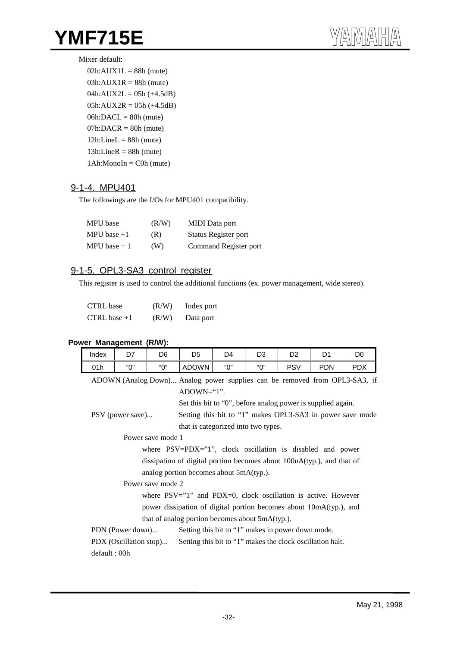#### Mixer default:

 $02h:AVX1L = 88h$  (mute)  $03h:AUX1R = 88h$  (mute)  $04h:AUX2L = 05h (+4.5dB)$  $05h:AUX2R = 05h (+4.5dB)$  $06h:DAC = 80h$  (mute)  $07h:DACR = 80h$  (mute)  $12h$ :LineL = 88h (mute)  $13h:LineR = 88h$  (mute) 1Ah:MonoIn = C0h (mute)

# 9-1-4. MPU401

The followings are the I/Os for MPU401 compatibility.

| MPU base      | (R/W) | <b>MIDI</b> Data port |
|---------------|-------|-----------------------|
| MPU base $+1$ | (R)   | Status Register port  |
| MPU base $+1$ | (W)   | Command Register port |

## 9-1-5. OPL3-SA3 control register

This register is used to control the additional functions (ex. power management, wide stereo).

| <b>CTRL</b> base | (R/W) | Index port |
|------------------|-------|------------|
| CTRL base $+1$   | (R/W) | Data port  |

#### **Power Management (R/W):**

| Index        | D7                                                                                  | D6                | D <sub>5</sub>                                                         | D4  | D <sub>3</sub> | D <sub>2</sub> | D <sub>1</sub> | D0                                                                         |
|--------------|-------------------------------------------------------------------------------------|-------------------|------------------------------------------------------------------------|-----|----------------|----------------|----------------|----------------------------------------------------------------------------|
| 01h          | "О"                                                                                 | "0"               | ADOWN                                                                  | "በ" | "በ"            | <b>PSV</b>     | <b>PDN</b>     | <b>PDX</b>                                                                 |
|              |                                                                                     |                   |                                                                        |     |                |                |                | ADOWN (Analog Down) Analog power supplies can be removed from OPL3-SA3, if |
|              |                                                                                     |                   | $ADOWN="1".$                                                           |     |                |                |                |                                                                            |
|              |                                                                                     |                   | Set this bit to "0", before analog power is supplied again.            |     |                |                |                |                                                                            |
|              | PSV (power save)                                                                    |                   |                                                                        |     |                |                |                | Setting this bit to "1" makes OPL3-SA3 in power save mode                  |
|              |                                                                                     |                   | that is categorized into two types.                                    |     |                |                |                |                                                                            |
|              | Power save mode 1                                                                   |                   |                                                                        |     |                |                |                |                                                                            |
|              | where $PSV = PDX = "1", clock oscillation is disabled and power$                    |                   |                                                                        |     |                |                |                |                                                                            |
|              |                                                                                     |                   | dissipation of digital portion becomes about 100uA(typ.), and that of  |     |                |                |                |                                                                            |
|              |                                                                                     |                   | analog portion becomes about 5mA(typ.).                                |     |                |                |                |                                                                            |
|              |                                                                                     | Power save mode 2 |                                                                        |     |                |                |                |                                                                            |
|              |                                                                                     |                   | where $PSV = "1"$ and $PDX = 0$ , clock oscillation is active. However |     |                |                |                |                                                                            |
|              |                                                                                     |                   | power dissipation of digital portion becomes about 10mA(typ.), and     |     |                |                |                |                                                                            |
|              |                                                                                     |                   | that of analog portion becomes about 5mA(typ.).                        |     |                |                |                |                                                                            |
|              | PDN (Power down)                                                                    |                   | Setting this bit to "1" makes in power down mode.                      |     |                |                |                |                                                                            |
|              | PDX (Oscillation stop)<br>Setting this bit to "1" makes the clock oscillation halt. |                   |                                                                        |     |                |                |                |                                                                            |
| default: 00h |                                                                                     |                   |                                                                        |     |                |                |                |                                                                            |
|              |                                                                                     |                   |                                                                        |     |                |                |                |                                                                            |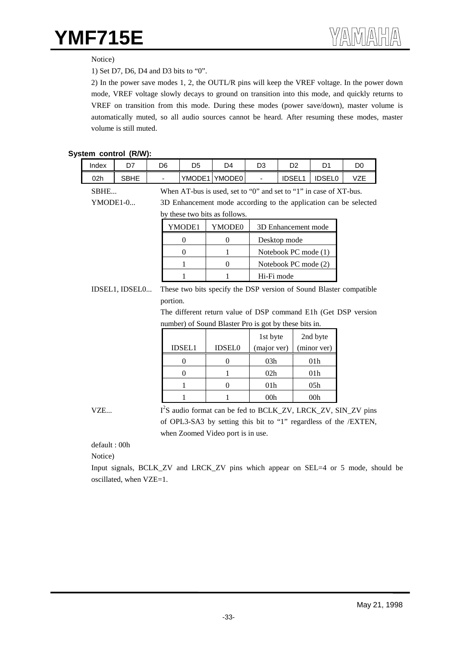Notice)

1) Set D7, D6, D4 and D3 bits to "0".

2) In the power save modes 1, 2, the OUTL/R pins will keep the VREF voltage. In the power down mode, VREF voltage slowly decays to ground on transition into this mode, and quickly returns to VREF on transition from this mode. During these modes (power save/down), master volume is automatically muted, so all audio sources cannot be heard. After resuming these modes, master volume is still muted.

#### **System control (R/W):**

| Index    | D7             | D6       | D <sub>5</sub>                                                    | D <sub>4</sub>                                        | D <sub>3</sub>       | D <sub>2</sub>       | D <sub>1</sub>  | D <sub>0</sub>                                                            |  |  |
|----------|----------------|----------|-------------------------------------------------------------------|-------------------------------------------------------|----------------------|----------------------|-----------------|---------------------------------------------------------------------------|--|--|
| 02h      | <b>SBHE</b>    |          |                                                                   | YMODE1 YMODE0                                         |                      | <b>IDSEL1</b>        | <b>IDSEL0</b>   | <b>VZE</b>                                                                |  |  |
| SBHE     |                |          | When AT-bus is used, set to "0" and set to "1" in case of XT-bus. |                                                       |                      |                      |                 |                                                                           |  |  |
| YMODE1-0 |                |          | 3D Enhancement mode according to the application can be selected  |                                                       |                      |                      |                 |                                                                           |  |  |
|          |                |          |                                                                   | by these two bits as follows.                         |                      |                      |                 |                                                                           |  |  |
|          |                |          | YMODE1                                                            | YMODE0                                                |                      | 3D Enhancement mode  |                 |                                                                           |  |  |
|          |                |          | $\boldsymbol{0}$                                                  | $\mathbf{0}$                                          |                      | Desktop mode         |                 |                                                                           |  |  |
|          |                |          | $\theta$                                                          | 1                                                     | Notebook PC mode (1) |                      |                 |                                                                           |  |  |
|          |                |          | 1                                                                 | $\mathbf{0}$                                          |                      | Notebook PC mode (2) |                 |                                                                           |  |  |
|          |                |          | 1                                                                 | 1                                                     | Hi-Fi mode           |                      |                 |                                                                           |  |  |
|          | IDSEL1, IDSEL0 |          |                                                                   |                                                       |                      |                      |                 | These two bits specify the DSP version of Sound Blaster compatible        |  |  |
|          |                | portion. |                                                                   |                                                       |                      |                      |                 |                                                                           |  |  |
|          |                |          |                                                                   |                                                       |                      |                      |                 | The different return value of DSP command E1h (Get DSP version            |  |  |
|          |                |          |                                                                   | number) of Sound Blaster Pro is got by these bits in. |                      |                      |                 |                                                                           |  |  |
|          |                |          |                                                                   |                                                       | 1st byte             |                      | 2nd byte        |                                                                           |  |  |
|          |                |          | <b>IDSEL1</b>                                                     | <b>IDSEL0</b>                                         | (major ver)          |                      | (minor ver)     |                                                                           |  |  |
|          |                |          | $\theta$                                                          | $\mathbf{0}$                                          | 03h                  |                      | 01 <sub>h</sub> |                                                                           |  |  |
|          |                |          | $\theta$                                                          | 1                                                     | 02h                  |                      | 01 <sub>h</sub> |                                                                           |  |  |
|          |                |          | 1                                                                 | $\mathbf{0}$                                          | 01 <sub>h</sub>      |                      | 05h             |                                                                           |  |  |
|          |                |          | 1                                                                 | 1                                                     | 00 <sub>h</sub>      |                      | 00 <sub>h</sub> |                                                                           |  |  |
| VZE      |                |          |                                                                   |                                                       |                      |                      |                 | I <sup>2</sup> S audio format can be fed to BCLK_ZV, LRCK_ZV, SIN_ZV pins |  |  |
|          |                |          |                                                                   |                                                       |                      |                      |                 | of OPL3-SA3 by setting this bit to "1" regardless of the /EXTEN,          |  |  |
|          |                |          |                                                                   | when Zoomed Video port is in use.                     |                      |                      |                 |                                                                           |  |  |

default : 00h

Notice)

Input signals, BCLK\_ZV and LRCK\_ZV pins which appear on SEL=4 or 5 mode, should be oscillated, when VZE=1.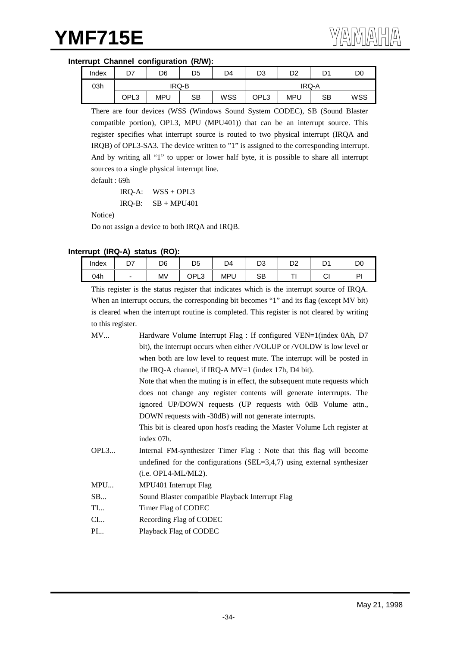## **Interrupt Channel configuration (R/W):**

| Index | n7<br>וש | D6         | D <sub>5</sub> | D <sub>4</sub> | D <sub>3</sub> | D <sub>2</sub> | D1 | D <sub>0</sub> |
|-------|----------|------------|----------------|----------------|----------------|----------------|----|----------------|
| 03h   |          |            | IRQ-B          |                | IRQ-A          |                |    |                |
|       | OPL3     | <b>MPU</b> | SB             | WSS            | OPL3           | MPU            | SB | WSS            |

There are four devices (WSS (Windows Sound System CODEC), SB (Sound Blaster compatible portion), OPL3, MPU (MPU401)) that can be an interrupt source. This register specifies what interrupt source is routed to two physical interrupt (IRQA and IRQB) of OPL3-SA3. The device written to "1" is assigned to the corresponding interrupt. And by writing all "1" to upper or lower half byte, it is possible to share all interrupt sources to a single physical interrupt line.

default : 69h

IRQ-A: WSS + OPL3  $IRQ-B:$   $SB + MPU401$ 

Notice)

Do not assign a device to both IRQA and IRQB.

### **Interrupt (IRQ-A) status (RO):**

| Index | ~-<br><u>.</u> | D <sub>6</sub> | DΕ<br>ບ∪            | D4       | no.<br>טש | n o<br>◡▵ | D <sub>1</sub><br>◡ | D0 |
|-------|----------------|----------------|---------------------|----------|-----------|-----------|---------------------|----|
| 04h   |                | <b>MV</b>      | OPL<br>$\sim$<br>∟ບ | MPl<br>ັ | SB        |           | ⌒<br>י              | D  |

This register is the status register that indicates which is the interrupt source of IRQA. When an interrupt occurs, the corresponding bit becomes "1" and its flag (except MV bit) is cleared when the interrupt routine is completed. This register is not cleared by writing to this register.

| MV | Hardware Volume Interrupt Flag : If configured VEN=1(index 0Ah, D7)        |
|----|----------------------------------------------------------------------------|
|    | bit), the interrupt occurs when either /VOLUP or /VOLDW is low level or    |
|    | when both are low level to request mute. The interrupt will be posted in   |
|    | the IRQ-A channel, if IRQ-A $MV=1$ (index 17h, D4 bit).                    |
|    | Note that when the muting is in effect, the subsequent mute requests which |
|    | does not change any register contents will generate interrrupts. The       |
|    | ignored UP/DOWN requests (UP requests with 0dB Volume attn.,               |
|    | DOWN requests with -30dB) will not generate interrupts.                    |
|    | This bit is cleared upon host's reading the Master Volume Lch register at  |
|    | index 07h.                                                                 |

- OPL3... Internal FM-synthesizer Timer Flag : Note that this flag will become undefined for the configurations  $(SEL=3,4,7)$  using external synthesizer (i.e. OPL4-ML/ML2).
- MPU... MPU401 Interrupt Flag
- SB... Sound Blaster compatible Playback Interrupt Flag
- TI... Timer Flag of CODEC
- CI... Recording Flag of CODEC
- PI... Playback Flag of CODEC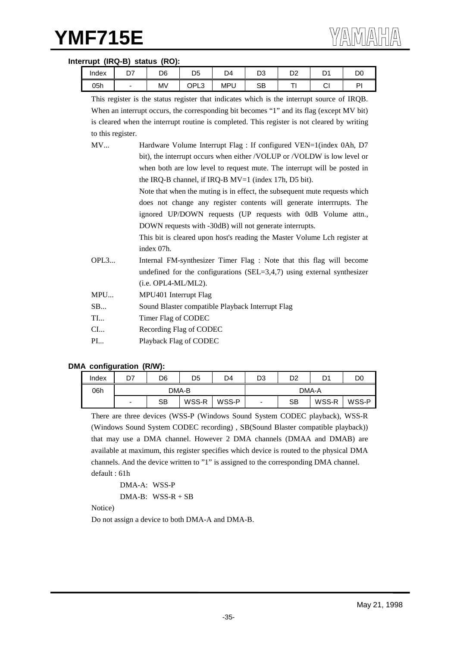#### **Interrupt (IRQ-B) status (RO):**

| Index | ∼−<br><u>.</u> | D6 | n r<br>υ5 | D4               | n o<br>ບບ | n o<br>◡▵ | r.<br>്     | DC |
|-------|----------------|----|-----------|------------------|-----------|-----------|-------------|----|
| 05h   |                | Mν | OPL3      | <b>MPI</b><br>∟⊤ | SB        |           | $\sim$<br>י | DI |

|                   | This register is the status register that indicates which is the interrupt source of IRQB.  |
|-------------------|---------------------------------------------------------------------------------------------|
|                   | When an interrupt occurs, the corresponding bit becomes "1" and its flag (except MV bit)    |
|                   | is cleared when the interrupt routine is completed. This register is not cleared by writing |
| to this register. |                                                                                             |
| MV                | Hardware Volume Interrupt Flag : If configured VEN=1(index 0Ah, D7)                         |
|                   | bit), the interrupt occurs when either /VOLUP or /VOLDW is low level or                     |
|                   | when both are low level to request mute. The interrupt will be posted in                    |
|                   | the IRQ-B channel, if IRQ-B $MV=1$ (index 17h, D5 bit).                                     |
|                   | Note that when the muting is in effect, the subsequent mute requests which                  |
|                   | does not change any register contents will generate interrrupts. The                        |
|                   | ignored UP/DOWN requests (UP requests with 0dB Volume attn.,                                |
|                   | DOWN requests with -30dB) will not generate interrupts.                                     |
|                   | This bit is cleared upon host's reading the Master Volume Lch register at                   |
|                   | index 07h.                                                                                  |
| OPL3              | Internal FM-synthesizer Timer Flag : Note that this flag will become                        |
|                   | undefined for the configurations (SEL=3,4,7) using external synthesizer                     |
|                   | $(i.e. OPL4-ML/ML2).$                                                                       |
| MPU               | MPU401 Interrupt Flag                                                                       |
| SB                | Sound Blaster compatible Playback Interrupt Flag                                            |
| $T^*$             | $\mathbf{E}$ $\mathbf{E}$                                                                   |

- TI... Timer Flag of CODEC
- CI... Recording Flag of CODEC
- PI... Playback Flag of CODEC

#### **DMA configuration (R/W):**

| Index | D7                       | D6 | D5    | D4    | D3                       | D2 | Dʻ    | D0    |  |
|-------|--------------------------|----|-------|-------|--------------------------|----|-------|-------|--|
| 06h   |                          |    | DMA-B |       | DMA-A                    |    |       |       |  |
|       | $\overline{\phantom{0}}$ | SВ | WSS-R | WSS-P | $\overline{\phantom{0}}$ | SB | WSS-R | WSS-P |  |

There are three devices (WSS-P (Windows Sound System CODEC playback), WSS-R (Windows Sound System CODEC recording) , SB(Sound Blaster compatible playback)) that may use a DMA channel. However 2 DMA channels (DMAA and DMAB) are available at maximum, this register specifies which device is routed to the physical DMA channels. And the device written to "1" is assigned to the corresponding DMA channel. default : 61h

```
DMA-A: WSS-P
DMA-B: WSS-R + SB
```
Notice)

Do not assign a device to both DMA-A and DMA-B.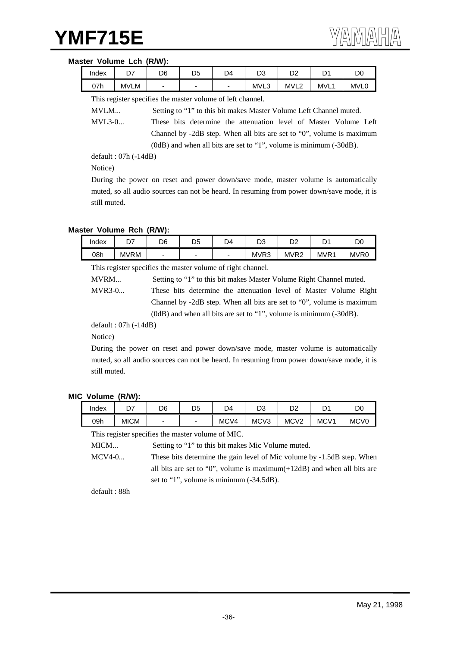#### **Master Volume Lch (R/W):**

| Index | --<br>- 1 | D6 | D5 | D4 | מח<br>נט | D2               | r.<br>້     | D <sub>0</sub>   |
|-------|-----------|----|----|----|----------|------------------|-------------|------------------|
| 07h   | MVLM      | -  | -  | -  | MVL3     | MVL <sub>2</sub> | <b>MVL1</b> | MVL <sub>0</sub> |

This register specifies the master volume of left channel.

MVLM... Setting to "1" to this bit makes Master Volume Left Channel muted.

MVL3-0... These bits determine the attenuation level of Master Volume Left Channel by -2dB step. When all bits are set to "0", volume is maximum (0dB) and when all bits are set to "1", volume is minimum (-30dB).

default : 07h (-14dB)

Notice)

During the power on reset and power down/save mode, master volume is automatically muted, so all audio sources can not be heard. In resuming from power down/save mode, it is still muted.

#### **Master Volume Rch (R/W):**

| Index | D <sub>7</sub> | D6 | D5 | D4 | n o<br>ັບບ       | מח<br>◡▵         | n,               | DC               |
|-------|----------------|----|----|----|------------------|------------------|------------------|------------------|
| 08h   | MVRM           | -  | -  | -  | MVR <sub>3</sub> | MVR <sub>2</sub> | MVR <sup>4</sup> | MVR <sub>0</sub> |

This register specifies the master volume of right channel.

MVRM... Setting to "1" to this bit makes Master Volume Right Channel muted.

MVR3-0... These bits determine the attenuation level of Master Volume Right Channel by -2dB step. When all bits are set to "0", volume is maximum (0dB) and when all bits are set to "1", volume is minimum (-30dB).

default : 07h (-14dB)

Notice)

During the power on reset and power down/save mode, master volume is automatically muted, so all audio sources can not be heard. In resuming from power down/save mode, it is still muted.

#### **MIC Volume (R/W):**

| Index | $\sim$<br><u>.</u> | D <sub>6</sub> | D5 | D4   | D3               | no.<br>◡▵        | n,<br>ັ          | DO               |
|-------|--------------------|----------------|----|------|------------------|------------------|------------------|------------------|
| 09h   | <b>MICM</b>        | -              | -  | MCV4 | MCV <sub>3</sub> | MCV <sub>2</sub> | MCV <sub>1</sub> | MC <sub>V0</sub> |

This register specifies the master volume of MIC.

MICM... Setting to "1" to this bit makes Mic Volume muted.

MCV4-0... These bits determine the gain level of Mic volume by -1.5dB step. When all bits are set to "0", volume is maximum(+12dB) and when all bits are set to "1", volume is minimum (-34.5dB).

default : 88h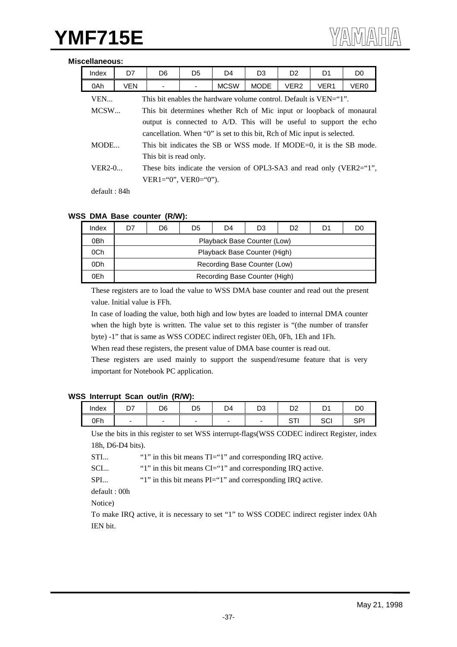#### **Miscellaneous:**

| Index    | D7         | D <sub>6</sub>                                                           | D <sub>5</sub> | D <sub>4</sub> | D <sub>3</sub> | D <sub>2</sub>   | D <sub>1</sub>   | D <sub>0</sub>                                                       |
|----------|------------|--------------------------------------------------------------------------|----------------|----------------|----------------|------------------|------------------|----------------------------------------------------------------------|
| 0Ah      | <b>VEN</b> |                                                                          |                | <b>MCSW</b>    | <b>MODE</b>    | VER <sub>2</sub> | VER <sub>1</sub> | VER <sub>0</sub>                                                     |
| VEN      |            | This bit enables the hardware volume control. Default is VEN="1".        |                |                |                |                  |                  |                                                                      |
| MCSW     |            | This bit determines whether Rch of Mic input or loopback of monaural     |                |                |                |                  |                  |                                                                      |
|          |            | output is connected to A/D. This will be useful to support the echo      |                |                |                |                  |                  |                                                                      |
|          |            | cancellation. When "0" is set to this bit, Rch of Mic input is selected. |                |                |                |                  |                  |                                                                      |
| MODE     |            |                                                                          |                |                |                |                  |                  | This bit indicates the SB or WSS mode. If MODE=0, it is the SB mode. |
|          |            | This bit is read only.                                                   |                |                |                |                  |                  |                                                                      |
| $VER2-0$ |            | These bits indicate the version of OPL3-SA3 and read only (VER2="1",     |                |                |                |                  |                  |                                                                      |
|          |            | $VER1 = "0", VER0 = "0").$                                               |                |                |                |                  |                  |                                                                      |
|          |            |                                                                          |                |                |                |                  |                  |                                                                      |

default : 84h

#### **WSS DMA Base counter (R/W):**

| Index | O7 | D6 | D5 | D4                            | D3 | D2 | D1 | D0 |
|-------|----|----|----|-------------------------------|----|----|----|----|
| 0Bh   |    |    |    | Playback Base Counter (Low)   |    |    |    |    |
| 0Ch   |    |    |    | Playback Base Counter (High)  |    |    |    |    |
| 0Dh   |    |    |    | Recording Base Counter (Low)  |    |    |    |    |
| 0Eh   |    |    |    | Recording Base Counter (High) |    |    |    |    |

These registers are to load the value to WSS DMA base counter and read out the present value. Initial value is FFh.

In case of loading the value, both high and low bytes are loaded to internal DMA counter when the high byte is written. The value set to this register is "(the number of transfer byte) -1" that is same as WSS CODEC indirect register 0Eh, 0Fh, 1Eh and 1Fh.

When read these registers, the present value of DMA base counter is read out.

These registers are used mainly to support the suspend/resume feature that is very important for Notebook PC application.

#### **WSS Interrupt Scan out/in (R/W):**

| Index |                          | D <sub>6</sub> | D5 | D <sub>4</sub> | n o<br>υs | D <sub>2</sub> | -<br>້    | D <sub>0</sub> |
|-------|--------------------------|----------------|----|----------------|-----------|----------------|-----------|----------------|
| 0Fh   | $\overline{\phantom{a}}$ | -              | -  | -              | -         | ∼<br>້<br>.    | ∩∩<br>וטכ | SP             |

Use the bits in this register to set WSS interrupt-flags(WSS CODEC indirect Register, index 18h, D6-D4 bits).

STI... "1" in this bit means TI="1" and corresponding IRQ active.

SCI... "1" in this bit means CI="1" and corresponding IRQ active.

SPI... "1" in this bit means PI="1" and corresponding IRQ active.

default : 00h

Notice)

To make IRQ active, it is necessary to set "1" to WSS CODEC indirect register index 0Ah IEN bit.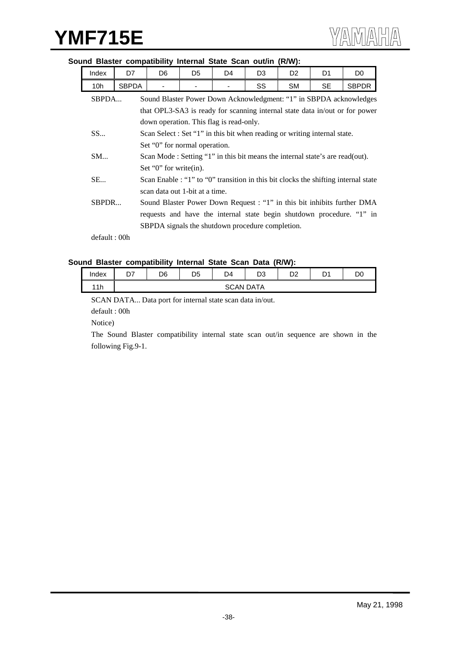# Index | D7 | D6 | D5 | D4 | D3 | D2 | D1 | D0 10h SBPDA - - - SS SM SE SBPDR SBPDA... Sound Blaster Power Down Acknowledgment: "1" in SBPDA acknowledges that OPL3-SA3 is ready for scanning internal state data in/out or for power down operation. This flag is read-only. SS... Scan Select : Set "1" in this bit when reading or writing internal state. Set "0" for normal operation. SM... Scan Mode : Setting "1" in this bit means the internal state's are read(out). Set "0" for write(in). SE... Scan Enable : "1" to "0" transition in this bit clocks the shifting internal state scan data out 1-bit at a time. SBPDR... Sound Blaster Power Down Request : "1" in this bit inhibits further DMA

#### **Sound Blaster compatibility Internal State Scan out/in (R/W):**

default : 00h

#### **Sound Blaster compatibility Internal State Scan Data (R/W):**

| Index | ້ | D6 | D <sub>5</sub> | D4               | n۵<br>υə | no.<br>∽ | n٠<br>ັ | D.<br>◡ |
|-------|---|----|----------------|------------------|----------|----------|---------|---------|
| 11h   |   |    |                | <b>SCAN DATA</b> |          |          |         |         |

SBPDA signals the shutdown procedure completion.

requests and have the internal state begin shutdown procedure. "1" in

SCAN DATA... Data port for internal state scan data in/out.

default : 00h

Notice)

The Sound Blaster compatibility internal state scan out/in sequence are shown in the following Fig.9-1.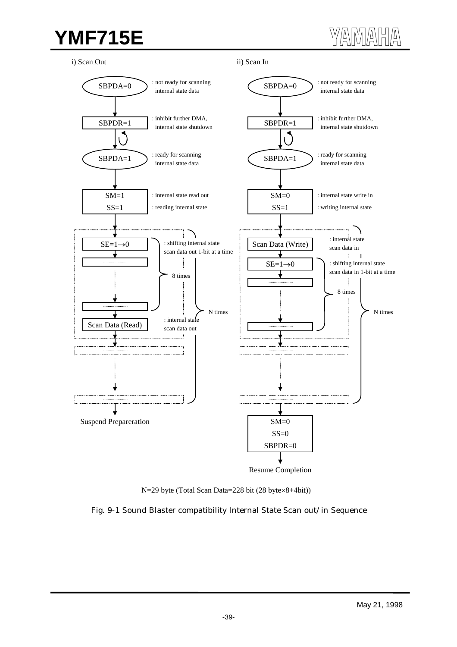$\langle \text{max}$ 

i) Scan Out

ii) Scan In





Fig. 9-1 Sound Blaster compatibility Internal State Scan out/in Sequence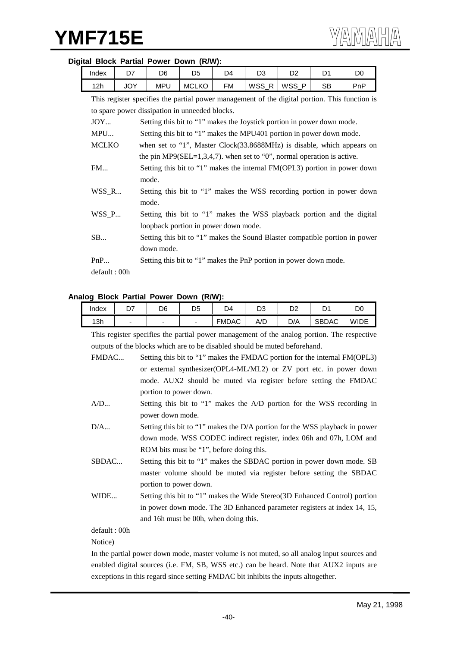| Index                                          | D7                                                                     | D6                                                                     | D <sub>5</sub> | D <sub>4</sub> | D <sub>3</sub> | D <sub>2</sub> | D <sub>1</sub>                                                         | D <sub>0</sub>                                                                                |  |
|------------------------------------------------|------------------------------------------------------------------------|------------------------------------------------------------------------|----------------|----------------|----------------|----------------|------------------------------------------------------------------------|-----------------------------------------------------------------------------------------------|--|
| 12h                                            | <b>JOY</b>                                                             | <b>MPU</b>                                                             | <b>MCLKO</b>   | <b>FM</b>      | WSS_R          | WSS_P          | <b>SB</b>                                                              | PnP                                                                                           |  |
|                                                |                                                                        |                                                                        |                |                |                |                |                                                                        | This register specifies the partial power management of the digital portion. This function is |  |
| to spare power dissipation in unneeded blocks. |                                                                        |                                                                        |                |                |                |                |                                                                        |                                                                                               |  |
| JOY                                            |                                                                        |                                                                        |                |                |                |                | Setting this bit to "1" makes the Joystick portion in power down mode. |                                                                                               |  |
| MPU                                            |                                                                        |                                                                        |                |                |                |                | Setting this bit to "1" makes the MPU401 portion in power down mode.   |                                                                                               |  |
| <b>MCLKO</b>                                   |                                                                        | when set to "1", Master Clock(33.8688MHz) is disable, which appears on |                |                |                |                |                                                                        |                                                                                               |  |
|                                                | the pin MP9(SEL=1,3,4,7). when set to "0", normal operation is active. |                                                                        |                |                |                |                |                                                                        |                                                                                               |  |
| FM                                             |                                                                        |                                                                        |                |                |                |                |                                                                        | Setting this bit to "1" makes the internal FM(OPL3) portion in power down                     |  |
|                                                |                                                                        | mode.                                                                  |                |                |                |                |                                                                        |                                                                                               |  |
| $WSS_R$                                        |                                                                        |                                                                        |                |                |                |                |                                                                        | Setting this bit to "1" makes the WSS recording portion in power down                         |  |
|                                                |                                                                        | mode.                                                                  |                |                |                |                |                                                                        |                                                                                               |  |
| $WSS_P$                                        |                                                                        |                                                                        |                |                |                |                |                                                                        | Setting this bit to "1" makes the WSS playback portion and the digital                        |  |
|                                                |                                                                        | loopback portion in power down mode.                                   |                |                |                |                |                                                                        |                                                                                               |  |
| SB                                             |                                                                        |                                                                        |                |                |                |                |                                                                        | Setting this bit to "1" makes the Sound Blaster compatible portion in power                   |  |
|                                                |                                                                        | down mode.                                                             |                |                |                |                |                                                                        |                                                                                               |  |
| PnP                                            |                                                                        |                                                                        |                |                |                |                | Setting this bit to "1" makes the PnP portion in power down mode.      |                                                                                               |  |
| default: 00h                                   |                                                                        |                                                                        |                |                |                |                |                                                                        |                                                                                               |  |

#### **Digital Block Partial Power Down (R/W):**

#### **Analog Block Partial Power Down (R/W):**

| Index        | D7 | D <sub>6</sub>                                                             | D <sub>5</sub> | D <sub>4</sub> | D <sub>3</sub> | D <sub>2</sub> | D1           | D <sub>0</sub>                                                                             |
|--------------|----|----------------------------------------------------------------------------|----------------|----------------|----------------|----------------|--------------|--------------------------------------------------------------------------------------------|
| 13h          |    |                                                                            |                | <b>FMDAC</b>   | A/D            | D/A            | <b>SBDAC</b> | <b>WIDE</b>                                                                                |
|              |    |                                                                            |                |                |                |                |              | This register specifies the partial power management of the analog portion. The respective |
|              |    | outputs of the blocks which are to be disabled should be muted beforehand. |                |                |                |                |              |                                                                                            |
| FMDAC        |    |                                                                            |                |                |                |                |              | Setting this bit to "1" makes the FMDAC portion for the internal FM(OPL3)                  |
|              |    |                                                                            |                |                |                |                |              | or external synthesizer(OPL4-ML/ML2) or ZV port etc. in power down                         |
|              |    |                                                                            |                |                |                |                |              | mode. AUX2 should be muted via register before setting the FMDAC                           |
|              |    | portion to power down.                                                     |                |                |                |                |              |                                                                                            |
| A/D          |    |                                                                            |                |                |                |                |              | Setting this bit to "1" makes the A/D portion for the WSS recording in                     |
|              |    | power down mode.                                                           |                |                |                |                |              |                                                                                            |
| D/A          |    |                                                                            |                |                |                |                |              | Setting this bit to "1" makes the D/A portion for the WSS playback in power                |
|              |    |                                                                            |                |                |                |                |              | down mode. WSS CODEC indirect register, index 06h and 07h, LOM and                         |
|              |    | ROM bits must be "1", before doing this.                                   |                |                |                |                |              |                                                                                            |
| SBDAC        |    |                                                                            |                |                |                |                |              | Setting this bit to "1" makes the SBDAC portion in power down mode. SB                     |
|              |    |                                                                            |                |                |                |                |              | master volume should be muted via register before setting the SBDAC                        |
|              |    | portion to power down.                                                     |                |                |                |                |              |                                                                                            |
| WIDE         |    |                                                                            |                |                |                |                |              | Setting this bit to "1" makes the Wide Stereo(3D Enhanced Control) portion                 |
|              |    |                                                                            |                |                |                |                |              | in power down mode. The 3D Enhanced parameter registers at index 14, 15,                   |
|              |    | and 16h must be 00h, when doing this.                                      |                |                |                |                |              |                                                                                            |
| default: 00h |    |                                                                            |                |                |                |                |              |                                                                                            |
| Notice)      |    |                                                                            |                |                |                |                |              |                                                                                            |

In the partial power down mode, master volume is not muted, so all analog input sources and enabled digital sources (i.e. FM, SB, WSS etc.) can be heard. Note that AUX2 inputs are exceptions in this regard since setting FMDAC bit inhibits the inputs altogether.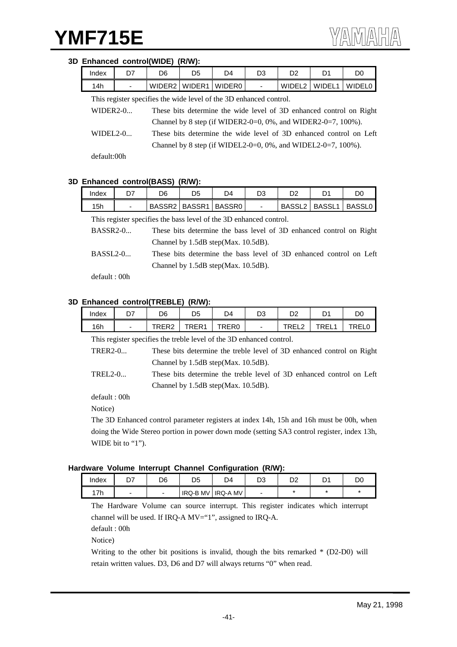#### **3D Enhanced control(WIDE) (R/W):**

| Index                                                              | D7                                                                               | D6 | D5                   | D4 | D <sub>3</sub>           | D <sub>2</sub> | D1     | D0                                                                 |
|--------------------------------------------------------------------|----------------------------------------------------------------------------------|----|----------------------|----|--------------------------|----------------|--------|--------------------------------------------------------------------|
| 14h                                                                |                                                                                  |    | WIDER2 WIDER1 WIDER0 |    | $\overline{\phantom{a}}$ | WIDEL2         | WIDEL1 | <b>WIDELO</b>                                                      |
| This register specifies the wide level of the 3D enhanced control. |                                                                                  |    |                      |    |                          |                |        |                                                                    |
|                                                                    | $WDER2-0$<br>These bits determine the wide level of 3D enhanced control on Right |    |                      |    |                          |                |        |                                                                    |
| Channel by 8 step (if WIDER2-0=0, 0%, and WIDER2-0=7, 100%).       |                                                                                  |    |                      |    |                          |                |        |                                                                    |
| $WIDEL2-0$                                                         |                                                                                  |    |                      |    |                          |                |        | These bits determine the wide level of 3D enhanced control on Left |
|                                                                    | Channel by 8 step (if WIDEL2-0=0, 0%, and WIDEL2-0=7, 100%).                     |    |                      |    |                          |                |        |                                                                    |

default:00h

#### **3D Enhanced control(BASS) (R/W):**

| Index | ◡                        | D6 | D5            | D4            | D3 | D2                 |                    | DC            |
|-------|--------------------------|----|---------------|---------------|----|--------------------|--------------------|---------------|
| 15h   | $\overline{\phantom{a}}$ |    | BASSR2 BASSR1 | <b>BASSR0</b> |    | BASSL <sub>2</sub> | BASSL <sub>1</sub> | <b>BASSL0</b> |

This register specifies the bass level of the 3D enhanced control.

| BASSR2-0        | These bits determine the bass level of 3D enhanced control on Right |
|-----------------|---------------------------------------------------------------------|
|                 | Channel by $1.5dB$ step(Max. $10.5dB$ ).                            |
| <b>BASSL2-0</b> | These bits determine the bass level of 3D enhanced control on Left  |
|                 | Channel by $1.5dB$ step(Max. $10.5dB$ ).                            |

default : 00h

### **3D Enhanced control(TREBLE) (R/W):**

| Index | D7 | D6             | D <sub>5</sub> | D4                | מח<br>υs | n o<br>ဟ∠         | n,<br>◡      | DC    |
|-------|----|----------------|----------------|-------------------|----------|-------------------|--------------|-------|
| 16h   |    | TDED?<br>\LI\4 | TRFR1          | TRER <sub>0</sub> |          | TDEL<br>. .<br>∼∽ | TREI.<br>◝┕┕ | TRELL |

This register specifies the treble level of the 3D enhanced control.

| <b>TRER2-0</b> | These bits determine the treble level of 3D enhanced control on Right          |
|----------------|--------------------------------------------------------------------------------|
|                | Channel by $1.5dB$ step(Max. $10.5dB$ ).                                       |
| $T$ DEI $20$   | These hits determine the tuple level of 2D enhanced control on $I$ of $\theta$ |

TREL2-0... These bits determine the treble level of 3D enhanced control on Left Channel by 1.5dB step(Max. 10.5dB).

default : 00h

Notice)

The 3D Enhanced control parameter registers at index 14h, 15h and 16h must be 00h, when doing the Wide Stereo portion in power down mode (setting SA3 control register, index 13h, WIDE bit to "1").

#### **Hardware Volume Interrupt Channel Configuration (R/W):**

| Index               | ~~<br>- 1 | nr<br>טע | n r<br>٦r<br>◡ | 4ר             | n o<br>ບບ | ◡ | D.<br>ັ | D0 |
|---------------------|-----------|----------|----------------|----------------|-----------|---|---------|----|
| $\rightarrow$<br>7h |           |          | IRQ-B MV       | <b>IRQ-AMV</b> |           |   |         |    |

The Hardware Volume can source interrupt. This register indicates which interrupt channel will be used. If IRQ-A MV="1", assigned to IRQ-A.

default : 00h

Notice)

Writing to the other bit positions is invalid, though the bits remarked \* (D2-D0) will retain written values. D3, D6 and D7 will always returns "0" when read.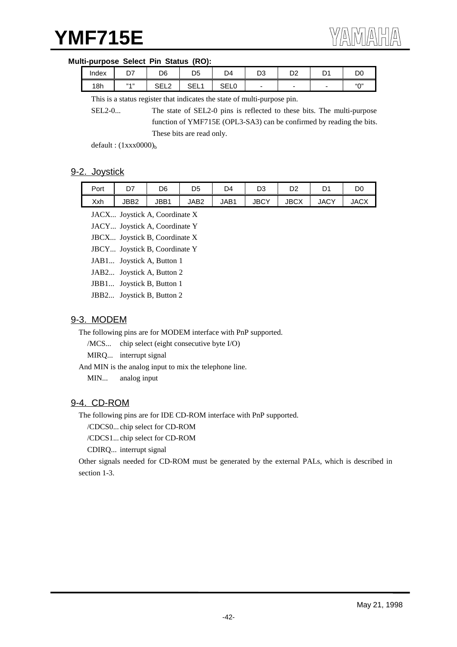#### **Multi-purpose Select Pin Status (RO):**

| Index | --<br>، ب | D <sub>6</sub>        | D <sub>5</sub> | D4                 | no.<br>υs | no.<br>◡▵ | D.<br>ັ | D <sub>0</sub>           |
|-------|-----------|-----------------------|----------------|--------------------|-----------|-----------|---------|--------------------------|
| 18h   | 33.433    | $\cap$ $\Box$<br>◡∟∟∠ | ᅌᄃ<br>ᆜᆜᄓ      | <b>SEI</b><br>◡∟∟∪ |           | -         | -       | $^{\prime\prime}$ $\cap$ |

This is a status register that indicates the state of multi-purpose pin.

SEL2-0... The state of SEL2-0 pins is reflected to these bits. The multi-purpose function of YMF715E (OPL3-SA3) can be confirmed by reading the bits. These bits are read only.

default:  $(1xxx0000)_b$ 

### 9-2. Joystick

| Port | D7   | D6   | D5   | D4               | D3          | מח<br>⊃∠    | Dʻ          | D0          |
|------|------|------|------|------------------|-------------|-------------|-------------|-------------|
| Xxh  | JBB2 | JBB1 | JAB2 | JAB <sup>1</sup> | <b>JBCY</b> | <b>JBCX</b> | <b>JACY</b> | <b>JACX</b> |

JACX... Joystick A, Coordinate X

JACY... Joystick A, Coordinate Y

JBCX... Joystick B, Coordinate X

JBCY... Joystick B, Coordinate Y

JAB1... Joystick A, Button 1

- JAB2... Joystick A, Button 2
- JBB1... Joystick B, Button 1
- JBB2... Joystick B, Button 2

## 9-3. MODEM

The following pins are for MODEM interface with PnP supported.

/MCS... chip select (eight consecutive byte I/O)

MIRQ... interrupt signal

And MIN is the analog input to mix the telephone line.

MIN... analog input

### 9-4. CD-ROM

The following pins are for IDE CD-ROM interface with PnP supported.

/CDCS0... chip select for CD-ROM

/CDCS1... chip select for CD-ROM

CDIRQ... interrupt signal

Other signals needed for CD-ROM must be generated by the external PALs, which is described in section 1-3.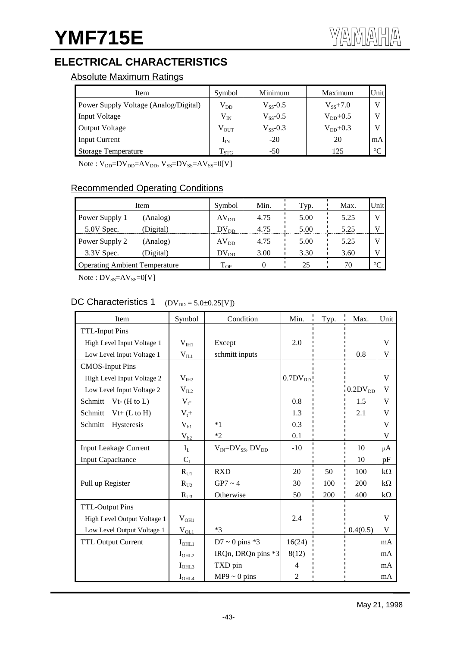# **ELECTRICAL CHARACTERISTICS**

# Absolute Maximum Ratings

| Item                                  | Symbol        | Minimum       | Maximum      | Unit   |
|---------------------------------------|---------------|---------------|--------------|--------|
| Power Supply Voltage (Analog/Digital) | $\rm V_{DD}$  | $V_{SS}$ -0.5 | $V_{SS}+7.0$ |        |
| <b>Input Voltage</b>                  | $\rm V_{IN}$  | $V_{ss}$ -0.5 | $V_{DD}+0.5$ |        |
| <b>Output Voltage</b>                 | $\rm V_{OUT}$ | $V_{SS}$ -0.3 | $V_{DD}+0.3$ |        |
| <b>Input Current</b>                  | $\rm I_{IN}$  | $-20$         | 20           | mA     |
| <b>Storage Temperature</b>            | $T_{STG}$     | $-50$         | 125          | $\sim$ |

 $Note: V_{DD} = DV_{DD} = AV_{DD}$ ,  $V_{SS} = DV_{SS} = AV_{SS} = 0[V]$ 

# Recommended Operating Conditions

| Item                                 | Symbol           | Min. | Typ. | Max. | Unitl  |
|--------------------------------------|------------------|------|------|------|--------|
| Power Supply 1<br>(Analog)           | $AV_{DD}$        | 4.75 | 5.00 | 5.25 |        |
| 5.0V Spec.<br>(Digital)              | $DV_{DD}$        | 4.75 | 5.00 | 5.25 |        |
| Power Supply 2<br>(Analog)           | AV <sub>DD</sub> | 4.75 | 5.00 | 5.25 |        |
| 3.3V Spec.<br>(Digital)              | $DV_{DD}$        | 3.00 | 3.30 | 3.60 |        |
| <b>Operating Ambient Temperature</b> | $T_{OP}$         |      | 25   | 70   | $\sim$ |

Note :  $DV_{SS} = AV_{SS} = 0[V]$ 

# DC Characteristics 1  $(DV_{DD} = 5.0 \pm 0.25[V])$

| Item                         | Symbol            | Condition                      | Min.         | Typ. | Max.         | Unit      |
|------------------------------|-------------------|--------------------------------|--------------|------|--------------|-----------|
| <b>TTL-Input Pins</b>        |                   |                                |              |      |              |           |
| High Level Input Voltage 1   | $V_{\text{III}}$  | Except                         | 2.0          |      |              | V         |
| Low Level Input Voltage 1    | $\rm V_{II}$      | schmitt inputs                 |              |      | 0.8          | V         |
| <b>CMOS-Input Pins</b>       |                   |                                |              |      |              |           |
| High Level Input Voltage 2   | $V_{I H2}$        |                                | $0.7DV_{DD}$ |      |              | V         |
| Low Level Input Voltage 2    | $V_{IL2}$         |                                |              |      | $0.2DV_{DD}$ | V         |
| Schmitt<br>$Vt-$ (H to L)    | $V_t$ -           |                                | 0.8          |      | 1.5          | V         |
| $Vt+ (L to H)$<br>Schmitt    | $V_t +$           |                                | 1.3          |      | 2.1          | V         |
| Schmitt<br>Hysteresis        | $V_{h1}$          | $*1$                           | 0.3          |      |              | V         |
|                              | $V_{h2}$          | $*2$                           | 0.1          |      |              | V         |
| <b>Input Leakage Current</b> | $I_{L}$           | $V_{IN} = DV_{SS}$ , $DV_{DD}$ | $-10$        |      | 10           | μA        |
| <b>Input Capacitance</b>     | $C_I$             |                                |              |      | 10           | pF        |
|                              | $R_{U1}$          | <b>RXD</b>                     | 20           | 50   | 100          | $k\Omega$ |
| Pull up Register             | $R_{U2}$          | $GP7 \sim 4$                   | 30           | 100  | 200          | $k\Omega$ |
|                              | $R_{U_3}$         | Otherwise                      | 50           | 200  | 400          | $k\Omega$ |
| <b>TTL-Output Pins</b>       |                   |                                |              |      |              |           |
| High Level Output Voltage 1  | $V_{OH1}$         |                                | 2.4          |      |              | V         |
| Low Level Output Voltage 1   | $\rm V_{OL1}$     | $*3$                           |              |      | 0.4(0.5)     | V         |
| <b>TTL Output Current</b>    | $I_{\text{OHL1}}$ | $D7 \sim 0$ pins *3            | 16(24)       |      |              | mA        |
|                              | $I_{\text{OHL2}}$ | IRQn, DRQn pins *3             | 8(12)        |      |              | mA        |
|                              | I <sub>OHL3</sub> | TXD pin                        | 4            |      |              | mA        |
|                              | $I_{\text{OHL}}$  | $MP9 \sim 0$ pins              | 2            |      |              | mA        |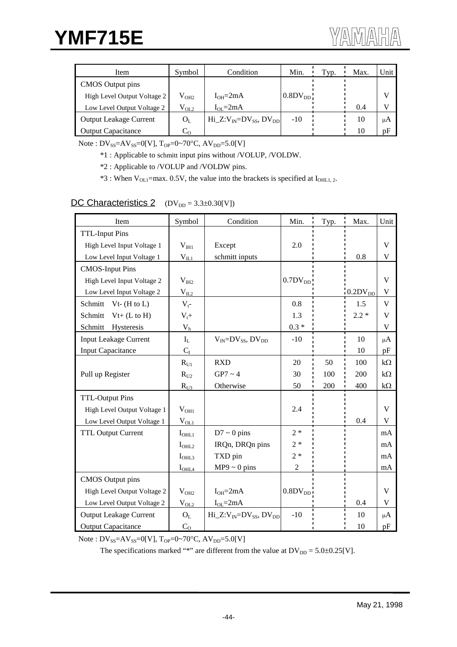| Item                          | Symbol                  | Condition                        | Min.                   | Typ. | Max. | Unit |
|-------------------------------|-------------------------|----------------------------------|------------------------|------|------|------|
| CMOS Output pins              |                         |                                  |                        |      |      |      |
| High Level Output Voltage 2   | $\rm V_{OH2}$           | $I_{OH} = 2mA$                   | $0.8$ DV <sub>DD</sub> |      |      |      |
| Low Level Output Voltage 2    | $\rm V_{OL2}$           | $I_{OL} = 2mA$                   |                        |      | 0.4  |      |
| <b>Output Leakage Current</b> | $O_L$                   | Hi $Z:V_{N}=DV_{SS}$ , $DV_{DD}$ | $-10$                  |      | 10   | μA   |
| <b>Output Capacitance</b>     | $\mathrm{C}_\mathrm{O}$ |                                  |                        |      | 10   | pF   |

Note :  $DV_{SS} = AV_{SS} = 0[V]$ ,  $T_{OP} = 0 \sim 70^{\circ}C$ ,  $AV_{DD} = 5.0[V]$ 

\*1 : Applicable to schmitt input pins without /VOLUP, /VOLDW.

\*2 : Applicable to /VOLUP and /VOLDW pins.

 $*3$ : When V<sub>OL1</sub>=max. 0.5V, the value into the brackets is specified at I<sub>OHL1, 2</sub>.

# DC Characteristics 2  $(DV_{DD} = 3.3 \pm 0.30[V])$

| Item                          | Symbol                  | Condition                         | Min.                       | Typ. | Max.         | Unit      |
|-------------------------------|-------------------------|-----------------------------------|----------------------------|------|--------------|-----------|
| <b>TTL-Input Pins</b>         |                         |                                   |                            |      |              |           |
| High Level Input Voltage 1    | $V_{III}$               | Except                            | 2.0                        |      |              | V         |
| Low Level Input Voltage 1     | $V_{IL1}$               | schmitt inputs                    |                            |      | 0.8          | V         |
| <b>CMOS-Input Pins</b>        |                         |                                   |                            |      |              |           |
| High Level Input Voltage 2    | $V_{I H2}$              |                                   | $0.7DV_{DD}$               |      |              | V         |
| Low Level Input Voltage 2     | $V_{IL2}$               |                                   |                            |      | $0.2DV_{DD}$ | V         |
| Schmitt<br>$Vt-$ (H to L)     | $V_t$ -                 |                                   | 0.8                        |      | 1.5          | V         |
| Schmitt<br>$Vt+ (L to H)$     | $V_t +$                 |                                   | 1.3                        |      | $2.2*$       | V         |
| Schmitt<br>Hysteresis         | $\mathbf{V}_\mathrm{h}$ |                                   | $0.3 *$                    |      |              | V         |
| <b>Input Leakage Current</b>  | $I_L$                   | $V_{IN} = DV_{SS}$ , $DV_{DD}$    | $-10$                      |      | 10           | μ $A$     |
| <b>Input Capacitance</b>      | $C_I$                   |                                   |                            |      | 10           | pF        |
|                               | $R_{U1}$                | <b>RXD</b>                        | 20                         | 50   | 100          | $k\Omega$ |
| Pull up Register              | $R_{U2}$                | $GP7 \sim 4$                      | 30                         | 100  | 200          | $k\Omega$ |
|                               | $R_{U3}$                | Otherwise                         | 50                         | 200  | 400          | $k\Omega$ |
| <b>TTL-Output Pins</b>        |                         |                                   |                            |      |              |           |
| High Level Output Voltage 1   | $V_{OH1}$               |                                   | 2.4                        |      |              | V         |
| Low Level Output Voltage 1    | $V_{OL1}$               |                                   |                            |      | 0.4          | V         |
| <b>TTL Output Current</b>     | $I_{\text{OHL1}}$       | $D7 \sim 0$ pins                  | $2 *$                      |      |              | mA        |
|                               | $I_{OHL2}$              | IRQn, DRQn pins                   | $2*$                       |      |              | mA        |
|                               | I <sub>OHL3</sub>       | TXD pin                           | $2*$                       |      |              | mA        |
|                               | $I_{\text{OHL4}}$       | $MP9 \sim 0$ pins                 | $\overline{2}$             |      |              | mA        |
| CMOS Output pins              |                         |                                   |                            |      |              |           |
| High Level Output Voltage 2   | $V_{OH2}$               | $I_{OH} = 2mA$                    | $0.8\text{DV}_{\text{DD}}$ |      |              | V         |
| Low Level Output Voltage 2    | $V_{OL2}$               | $I_{OL} = 2mA$                    |                            |      | 0.4          | V         |
| <b>Output Leakage Current</b> | $O_L$                   | $Hi_Z: V_{IN} = DV_{SS}, DV_{DD}$ | $-10$                      |      | 10           | μ $A$     |
| <b>Output Capacitance</b>     | C <sub>O</sub>          |                                   |                            |      | 10           | pF        |

Note :  $DV_{SS} = AV_{SS} = 0[V]$ ,  $T_{OP} = 0 \sim 70^{\circ}C$ ,  $AV_{DD} = 5.0[V]$ 

The specifications marked "\*" are different from the value at  $DV_{DD} = 5.0 \pm 0.25[V]$ .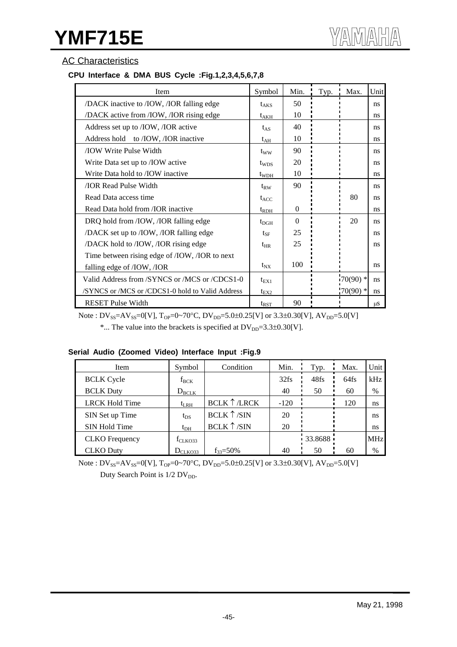# **AC Characteristics**

## **CPU Interface & DMA BUS Cycle :Fig.1,2,3,4,5,6,7,8**

| Item                                             | Symbol        | Min.     | Typ. | Max.       | Unit    |
|--------------------------------------------------|---------------|----------|------|------------|---------|
| /DACK inactive to /IOW, /IOR falling edge        | $t_{AKS}$     | 50       |      |            | ns      |
| /DACK active from /IOW, /IOR rising edge         | $t_{AKH}$     | 10       |      |            | ns      |
| Address set up to /IOW, /IOR active              | $t_{AS}$      | 40       |      |            | ns      |
| Address hold to /IOW, /IOR inactive              | $t_{AH}$      | 10       |      |            | ns      |
| <b>TOW Write Pulse Width</b>                     | $t_{WW}$      | 90       |      |            | ns      |
| Write Data set up to /IOW active                 | $t_{WDS}$     | 20       |      |            | ns      |
| Write Data hold to /IOW inactive                 | $t_{WDH}$     | 10       |      |            | ns      |
| <b>JOR Read Pulse Width</b>                      | $t_{RW}$      | 90       |      |            | ns      |
| Read Data access time                            | $t_{ACC}$     |          |      | 80         | ns      |
| Read Data hold from /IOR inactive                | $t_{RDH}$     | $\Omega$ |      |            | ns      |
| DRQ hold from /IOW, /IOR falling edge            | $t_{\rm DGH}$ | $\Omega$ |      | 20         | ns      |
| /DACK set up to /IOW, /IOR falling edge          | $t_{\rm SF}$  | 25       |      |            | ns      |
| /DACK hold to /IOW, /IOR rising edge             | $t_{HR}$      | 25       |      |            | ns      |
| Time between rising edge of /IOW, /IOR to next   |               |          |      |            |         |
| falling edge of /IOW, /IOR                       | $t_{\rm NX}$  | 100      |      |            | ns      |
| Valid Address from /SYNCS or /MCS or /CDCS1-0    | $t_{EX1}$     |          |      | $70(90)$ * | ns      |
| /SYNCS or /MCS or /CDCS1-0 hold to Valid Address | $t_{EX2}$     |          |      | $70(90)$ * | ns      |
| <b>RESET Pulse Width</b>                         | $t_{RST}$     | 90       |      |            | $\mu$ S |

Note :  $DV_{SS} = AV_{SS} = 0[V]$ ,  $T_{OP} = 0.70^{\circ}C$ ,  $DV_{DD} = 5.0 \pm 0.25[V]$  or 3.3 $\pm 0.30[V]$ ,  $AV_{DD} = 5.0[V]$ 

\*... The value into the brackets is specified at  $DV_{DD}=3.3\pm0.30[V]$ .

### **Serial Audio (Zoomed Video) Interface Input :Fig.9**

| Item                  | Symbol              | Condition            | Min.   | Typ.    | Max. | Unit       |
|-----------------------|---------------------|----------------------|--------|---------|------|------------|
| <b>BCLK</b> Cycle     | $f_{\rm BCK}$       |                      | 32fs   | 48fs    | 64fs | kHz        |
| <b>BCLK Duty</b>      | $D_{\text{BCLK}}$   |                      | 40     | 50      | 60   | %          |
| <b>LRCK Hold Time</b> | $t_{LRH}$           | <b>BCLK 1 /LRCK</b>  | $-120$ |         | 120  | ns         |
| SIN Set up Time       | $t_{DS}$            | BCLK 1/SIN           | 20     |         |      | ns         |
| SIN Hold Time         | $t_{\rm DH}$        | BCLK $\uparrow$ /SIN | 20     |         |      | ns         |
| <b>CLKO</b> Frequency | $f_{\text{CLKO}33}$ |                      |        | 33.8688 |      | <b>MHz</b> |
| <b>CLKO</b> Duty      | $D_{CLKQ33}$        | $f_{33} = 50\%$      | 40     | 50      | 60   | %          |

Note :  $DV_{SS} = AV_{SS} = 0[V]$ ,  $T_{OP} = 0.70^{\circ}C$ ,  $DV_{DD} = 5.0 \pm 0.25[V]$  or 3.3±0.30[V],  $AV_{DD} = 5.0[V]$ Duty Search Point is  $1/2$  DV<sub>DD</sub>.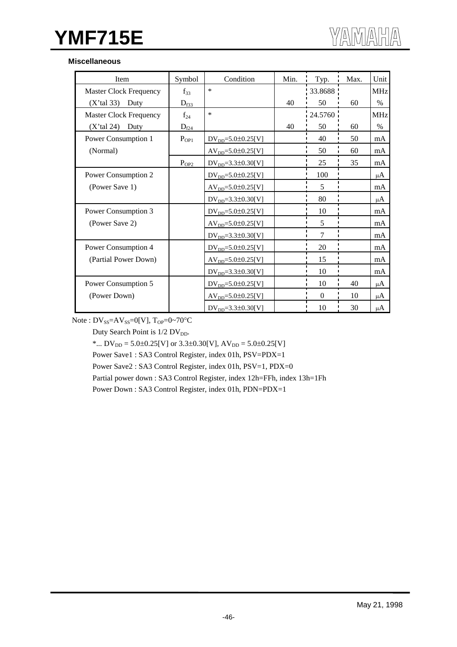#### **Miscellaneous**

| Item                          | Symbol                | Condition                    | Min. | Typ.     | Max. | Unit            |
|-------------------------------|-----------------------|------------------------------|------|----------|------|-----------------|
| <b>Master Clock Frequency</b> | $f_{33}$              | $\ast$                       |      | 33.8688  |      | MH <sub>z</sub> |
| $(X'$ tal 33) Duty            | $D_{\underline{f33}}$ |                              | 40   | 50       | 60   | $\%$            |
| <b>Master Clock Frequency</b> | $f_{24}$              | $\ast$                       |      | 24.5760  |      | <b>MHz</b>      |
| $(X'$ tal 24)<br>Duty         | $D_{f24}$             |                              | 40   | 50       | 60   | $\%$            |
| Power Consumption 1           | $P_{OP1}$             | $DV_{DD} = 5.0 \pm 0.25$ [V] |      | 40       | 50   | mA              |
| (Normal)                      |                       | $AVDD=5.0±0.25[V]$           |      | 50       | 60   | mA              |
|                               | $P_{OP2}$             | $DV_{DD} = 3.3 \pm 0.30[V]$  |      | 25       | 35   | mA              |
| Power Consumption 2           |                       | $DV_{DD} = 5.0 \pm 0.25$ [V] |      | 100      |      | μ $A$           |
| (Power Save 1)                |                       | $AV_{DD} = 5.0 \pm 0.25[V]$  |      | 5        |      | mA              |
|                               |                       | $DV_{DD} = 3.3 \pm 0.30[V]$  |      | 80       |      | μA              |
| Power Consumption 3           |                       | $DV_{DD} = 5.0 \pm 0.25$ [V] |      | 10       |      | mA              |
| (Power Save 2)                |                       | $AV_{DD} = 5.0 \pm 0.25[V]$  |      | 5        |      | mA              |
|                               |                       | $DV_{DD} = 3.3 \pm 0.30[V]$  |      | 7        |      | mA              |
| Power Consumption 4           |                       | $DV_{DD} = 5.0 \pm 0.25$ [V] |      | 20       |      | mA              |
| (Partial Power Down)          |                       | $AVDD=5.0±0.25[V]$           |      | 15       |      | mA              |
|                               |                       | $DV_{DD} = 3.3 \pm 0.30[V]$  |      | 10       |      | mA              |
| Power Consumption 5           |                       | $DV_{DD} = 5.0 \pm 0.25$ [V] |      | 10       | 40   | μA              |
| (Power Down)                  |                       | $AV_{DD} = 5.0 \pm 0.25[V]$  |      | $\Omega$ | 10   | μA              |
|                               |                       | $DV_{DD} = 3.3 \pm 0.30[V]$  |      | 10       | 30   | μ $A$           |

Note :  $DV_{SS} = AV_{SS} = 0[V]$ ,  $T_{OP} = 0 \sim 70^{\circ}C$ 

Duty Search Point is 1/2 DV<sub>DD</sub>.

\*...  $DV_{DD} = 5.0 \pm 0.25[V]$  or  $3.3 \pm 0.30[V]$ ,  $AV_{DD} = 5.0 \pm 0.25[V]$ 

Power Save1 : SA3 Control Register, index 01h, PSV=PDX=1

Power Save2 : SA3 Control Register, index 01h, PSV=1, PDX=0

Partial power down : SA3 Control Register, index 12h=FFh, index 13h=1Fh

Power Down : SA3 Control Register, index 01h, PDN=PDX=1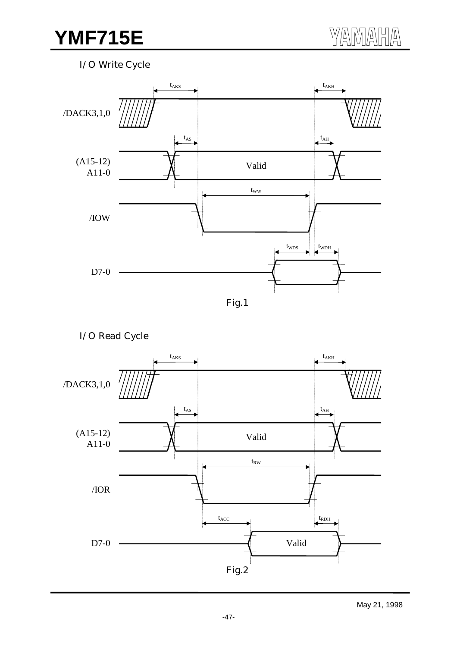I/O Write Cycle





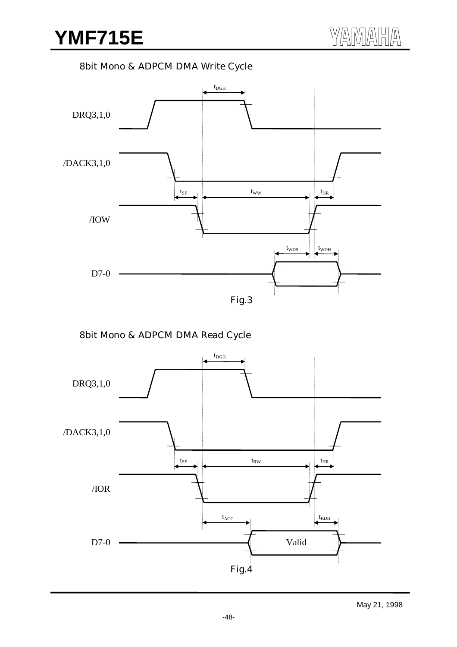8bit Mono & ADPCM DMA Write Cycle



8bit Mono & ADPCM DMA Read Cycle

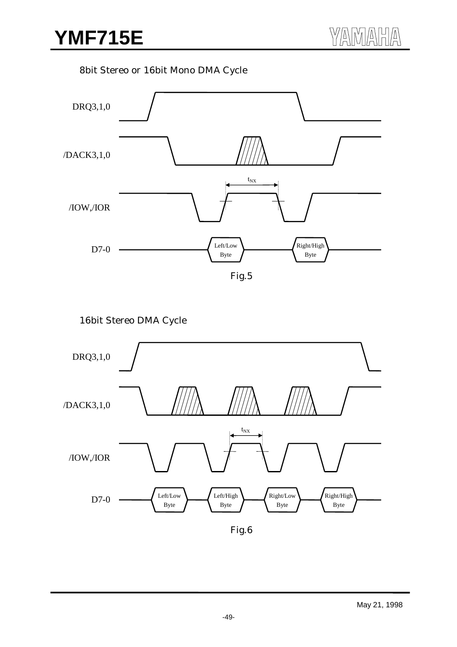8bit Stereo or 16bit Mono DMA Cycle



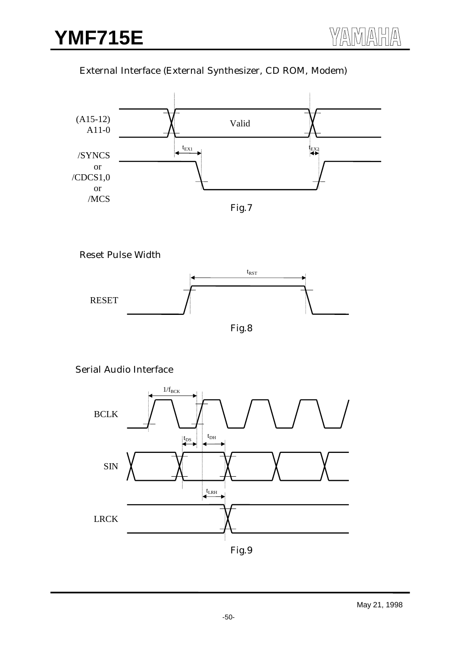# External Interface (External Synthesizer, CD ROM, Modem)



Reset Pulse Width



Serial Audio Interface

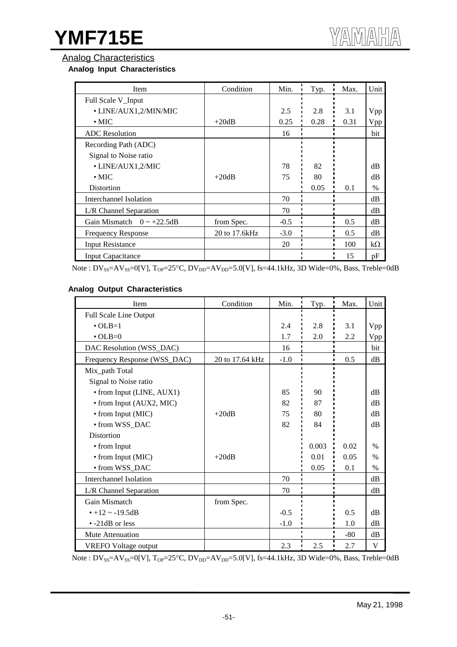## Analog Characteristics

### **Analog Input Characteristics**

| Item                               | Condition      | Min.   | Typ. | Max. | Unit      |
|------------------------------------|----------------|--------|------|------|-----------|
| Full Scale V_Input                 |                |        |      |      |           |
| • LINE/AUX1,2/MIN/MIC              |                | 2.5    | 2.8  | 3.1  | Vpp       |
| $\cdot$ MIC                        | $+20dB$        | 0.25   | 0.28 | 0.31 | Vpp       |
| <b>ADC</b> Resolution              |                | 16     |      |      | bit       |
| Recording Path (ADC)               |                |        |      |      |           |
| Signal to Noise ratio              |                |        |      |      |           |
| • LINE/AUX1,2/MIC                  |                | 78     | 82   |      | dB        |
| $\cdot$ MIC                        | $+20dB$        | 75     | 80   |      | dB        |
| <b>Distortion</b>                  |                |        | 0.05 | 0.1  | $\%$      |
| Interchannel Isolation             |                | 70     |      |      | dB        |
| L/R Channel Separation             |                | 70     |      |      | dB        |
| Gain Mismatch<br>$0 \sim +22.5$ dB | from Spec.     | $-0.5$ |      | 0.5  | dB        |
| <b>Frequency Response</b>          | 20 to 17.6 kHz | $-3.0$ |      | 0.5  | dB        |
| <b>Input Resistance</b>            |                | 20     |      | 100  | $k\Omega$ |
| <b>Input Capacitance</b>           |                |        |      | 15   | pF        |

Note :  $DV_{SS} = AV_{SS} = 0[V]$ ,  $T_{OP} = 25°C$ ,  $DV_{DD} = AV_{DD} = 5.0[V]$ , fs=44.1kHz, 3D Wide=0%, Bass, Treble=0dB

### **Analog Output Characteristics**

| Item                          | Condition       | Min.   | Typ.  | Max.  | Unit          |
|-------------------------------|-----------------|--------|-------|-------|---------------|
| Full Scale Line Output        |                 |        |       |       |               |
| $\cdot$ OLB=1                 |                 | 2.4    | 2.8   | 3.1   | Vpp           |
| $\cdot$ OLB=0                 |                 | 1.7    | 2.0   | 2.2   | Vpp           |
| DAC Resolution (WSS_DAC)      |                 | 16     |       |       | bit           |
| Frequency Response (WSS_DAC)  | 20 to 17.64 kHz | $-1.0$ |       | 0.5   | dB            |
| Mix_path Total                |                 |        |       |       |               |
| Signal to Noise ratio         |                 |        |       |       |               |
| • from Input (LINE, AUX1)     |                 | 85     | 90    |       | $\rm dB$      |
| • from Input (AUX2, MIC)      |                 | 82     | 87    |       | dB            |
| • from Input (MIC)            | $+20dB$         | 75     | 80    |       | dB            |
| • from WSS_DAC                |                 | 82     | 84    |       | $\rm dB$      |
| <b>Distortion</b>             |                 |        |       |       |               |
| • from Input                  |                 |        | 0.003 | 0.02  | $\frac{0}{0}$ |
| • from Input (MIC)            | $+20dB$         |        | 0.01  | 0.05  | $\%$          |
| • from WSS_DAC                |                 |        | 0.05  | 0.1   | $\%$          |
| <b>Interchannel Isolation</b> |                 | 70     |       |       | dB            |
| L/R Channel Separation        |                 | 70     |       |       | dB            |
| Gain Mismatch                 | from Spec.      |        |       |       |               |
| $\cdot$ +12 ~ -19.5dB         |                 | $-0.5$ |       | 0.5   | dB            |
| $\cdot$ -21dB or less         |                 | $-1.0$ |       | 1.0   | dB            |
| Mute Attenuation              |                 |        |       | $-80$ | dB            |
| <b>VREFO</b> Voltage output   |                 | 2.3    | 2.5   | 2.7   | V             |

Note :  $DV_{SS} = AV_{SS} = 0[V]$ ,  $T_{OP} = 25°C$ ,  $DV_{DD} = AV_{DD} = 5.0[V]$ ,  $fs = 44.1kHz$ , 3D Wide=0%, Bass, Treble=0dB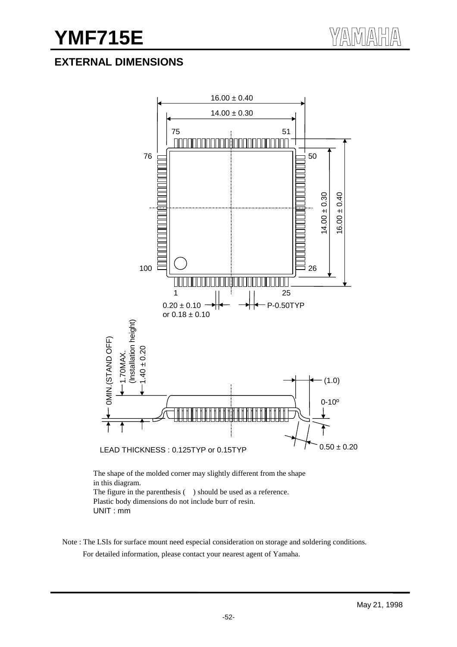# **EXTERNAL DIMENSIONS**



The figure in the parenthesis ( ) should be used as a reference. Plastic body dimensions do not include burr of resin. UNIT : mm

Note : The LSIs for surface mount need especial consideration on storage and soldering conditions. For detailed information, please contact your nearest agent of Yamaha.